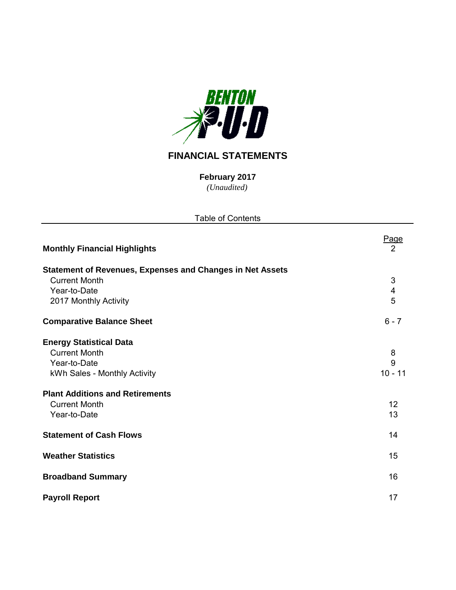

# **FINANCIAL STATEMENTS**

*(Unaudited)* **February 2017**

| <b>Table of Contents</b>                                                                                                                                                 |                           |
|--------------------------------------------------------------------------------------------------------------------------------------------------------------------------|---------------------------|
| <b>Monthly Financial Highlights</b>                                                                                                                                      | <u>Page</u><br>2          |
| <b>Statement of Revenues, Expenses and Changes in Net Assets</b><br><b>Current Month</b><br>Year-to-Date<br>2017 Monthly Activity                                        | 3<br>4<br>5               |
| <b>Comparative Balance Sheet</b>                                                                                                                                         | $6 - 7$                   |
| <b>Energy Statistical Data</b><br><b>Current Month</b><br>Year-to-Date<br>kWh Sales - Monthly Activity<br><b>Plant Additions and Retirements</b><br><b>Current Month</b> | 8<br>9<br>$10 - 11$<br>12 |
| Year-to-Date<br><b>Statement of Cash Flows</b>                                                                                                                           | 13<br>14                  |
| <b>Weather Statistics</b>                                                                                                                                                | 15                        |
| <b>Broadband Summary</b>                                                                                                                                                 | 16                        |
| <b>Payroll Report</b>                                                                                                                                                    | 17                        |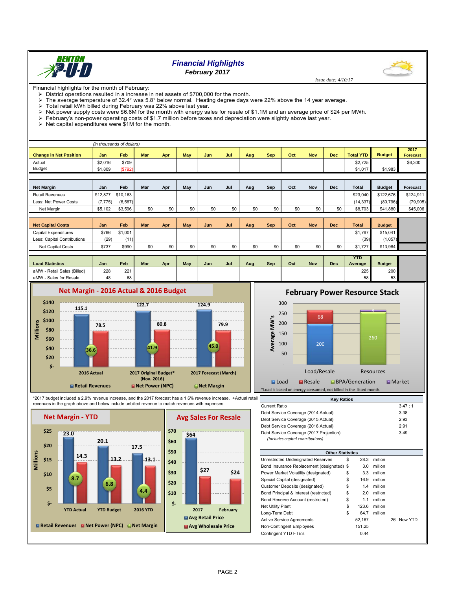

# *Financial Highlights February 2017*

 *Issue date: 4/10/17*

Financial highlights for the month of February:

- District operations resulted in a increase in net assets of \$700,000 for the month.<br>
> The average temperature of 32.4° was 5.8° below normal. Heating degree days The average temperature of 32.4° was 5.8° below normal. Heating degree days were 22% above the 14 year average.<br>
Total retail kWh billed during February was 22% above last year.
- 
- $\triangleright$  Total retail kWh billed during February was 22% above last year.<br> $\triangleright$  Net power supply costs were \$6.6M for the month with energy sa Net power supply costs were \$6.6M for the month with energy sales for resale of \$1.1M and an average price of \$24 per MWh.
- February's non-power operating costs of \$1.7 million before taxes and depreciation were slightly above last year.
- $\triangleright$  Net capital expenditures were  $$1M$  for the month.

|                               |          | (in thousands of dollars) |            |     |     |     |     |     |            |     |            |            |                       |               |                         |
|-------------------------------|----------|---------------------------|------------|-----|-----|-----|-----|-----|------------|-----|------------|------------|-----------------------|---------------|-------------------------|
| <b>Change in Net Position</b> | Jan      | <b>Feb</b>                | <b>Mar</b> | Apr | May | Jun | Jul | Aug | <b>Sep</b> | Oct | <b>Nov</b> | Dec        | <b>Total YTD</b>      | <b>Budget</b> | 2017<br><b>Forecast</b> |
| Actual                        | \$2,016  | \$709                     |            |     |     |     |     |     |            |     |            |            | \$2,725               |               | \$6,300                 |
| Budget                        | \$1,809  | (\$792)                   |            |     |     |     |     |     |            |     |            |            | \$1,017               | \$1,983       |                         |
|                               |          |                           |            |     |     |     |     |     |            |     |            |            |                       |               |                         |
| <b>Net Margin</b>             | Jan      | Feb                       | Mar        | Apr | May | Jun | Jul | Aug | Sep        | Oct | <b>Nov</b> | <b>Dec</b> | <b>Total</b>          | <b>Budget</b> | Forecast                |
| <b>Retail Revenues</b>        | \$12,877 | \$10,163                  |            |     |     |     |     |     |            |     |            |            | \$23,040              | \$122,676     | \$124,911               |
| Less: Net Power Costs         | (7, 775) | (6, 567)                  |            |     |     |     |     |     |            |     |            |            | (14, 337)             | (80, 796)     | (79, 905)               |
| Net Margin                    | \$5,102  | \$3,596                   | \$0        | \$0 | \$0 | \$0 | \$0 | \$0 | \$0        | \$0 | \$0        | \$0        | \$8,703               | \$41,880      | \$45,006                |
|                               |          |                           |            |     |     |     |     |     |            |     |            |            |                       |               |                         |
| <b>Net Capital Costs</b>      | Jan      | <b>Feb</b>                | <b>Mar</b> | Apr | May | Jun | Jul | Aug | <b>Sep</b> | Oct | <b>Nov</b> | <b>Dec</b> | <b>Total</b>          | <b>Budget</b> |                         |
| <b>Capital Expenditures</b>   | \$766    | \$1,001                   |            |     |     |     |     |     |            |     |            |            | \$1,767               | \$15,041      |                         |
| Less: Capital Contributions   | (29)     | (11)                      |            |     |     |     |     |     |            |     |            |            | (39)                  | (1,057)       |                         |
| Net Capital Costs             | \$737    | \$990                     | \$0        | \$0 | \$0 | \$0 | \$0 | \$0 | \$0        | \$0 | \$0        | \$0        | \$1,727               | \$13,984      |                         |
|                               |          |                           |            |     |     |     |     |     |            |     |            |            |                       |               |                         |
| <b>Load Statistics</b>        | Jan      | Feb                       | Mar        | Apr | May | Jun | Jul | Aug | Sep        | Oct | <b>Nov</b> | <b>Dec</b> | <b>YTD</b><br>Average | <b>Budget</b> |                         |
| aMW - Retail Sales (Billed)   | 228      | 221                       |            |     |     |     |     |     |            |     |            |            | 225                   | 200           |                         |
| aMW - Sales for Resale        | 48       | 68                        |            |     |     |     |     |     |            |     |            |            | 58                    | 53            |                         |



**February Power Resource Stack** 



\*2017 budget included a 2.9% revenue increase, and the 2017 forecast has a 1.6% revenue increase. +Actual retail revenues in the graph above and below include unbilled revenue to match revenues with expenses.



| 3II. | <b>Kev Ratios</b>                       |        |  |  |  |  |  |  |  |  |
|------|-----------------------------------------|--------|--|--|--|--|--|--|--|--|
|      | Current Ratio                           | 3.47:1 |  |  |  |  |  |  |  |  |
|      | Debt Service Coverage (2014 Actual)     | 3.38   |  |  |  |  |  |  |  |  |
|      | Debt Service Coverage (2015 Actual)     | 2.93   |  |  |  |  |  |  |  |  |
|      | Debt Service Coverage (2016 Actual)     | 2.91   |  |  |  |  |  |  |  |  |
|      | Debt Service Coverage (2017 Projection) | 3.49   |  |  |  |  |  |  |  |  |
|      | (includes capital contributions)        |        |  |  |  |  |  |  |  |  |

| <b>Other Statistics</b>                    |    |        |         |    |         |  |  |  |  |  |  |
|--------------------------------------------|----|--------|---------|----|---------|--|--|--|--|--|--|
| Unrestricted Undesignated Reserves         | S  | 28.3   | million |    |         |  |  |  |  |  |  |
| Bond Insurance Replacement (designated) \$ |    | 3.0    | million |    |         |  |  |  |  |  |  |
| Power Market Volatility (designated)       | \$ | 3.3    | million |    |         |  |  |  |  |  |  |
| Special Capital (designated)               | \$ | 16.9   | million |    |         |  |  |  |  |  |  |
| Customer Deposits (designated)             | \$ | 1.4    | million |    |         |  |  |  |  |  |  |
| Bond Principal & Interest (restricted)     | \$ | 2.0    | million |    |         |  |  |  |  |  |  |
| Bond Reserve Account (restricted)          | \$ | 1.1    | million |    |         |  |  |  |  |  |  |
| Net Utility Plant                          | \$ | 123.6  | million |    |         |  |  |  |  |  |  |
| Long-Term Debt                             | \$ | 64.7   | million |    |         |  |  |  |  |  |  |
| <b>Active Service Agreements</b>           |    | 52,167 |         | 26 | New YTD |  |  |  |  |  |  |
| Non-Contingent Employees                   |    | 151.25 |         |    |         |  |  |  |  |  |  |
| Contingent YTD FTE's                       |    | 0.44   |         |    |         |  |  |  |  |  |  |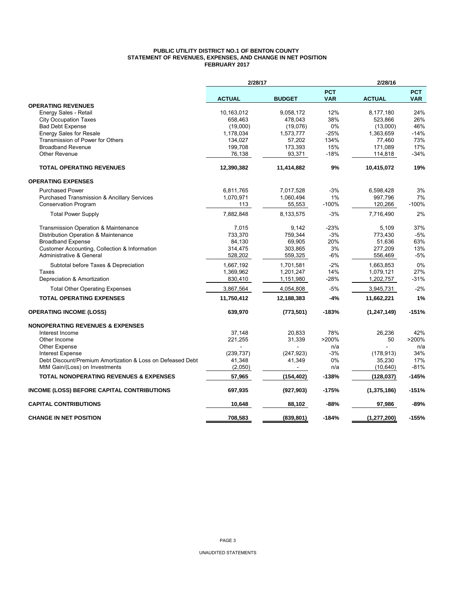#### **PUBLIC UTILITY DISTRICT NO.1 OF BENTON COUNTY STATEMENT OF REVENUES, EXPENSES, AND CHANGE IN NET POSITION FEBRUARY 2017**

|                                                            | 2/28/17       |               |                          |               |                          |
|------------------------------------------------------------|---------------|---------------|--------------------------|---------------|--------------------------|
|                                                            | <b>ACTUAL</b> | <b>BUDGET</b> | <b>PCT</b><br><b>VAR</b> | <b>ACTUAL</b> | <b>PCT</b><br><b>VAR</b> |
| <b>OPERATING REVENUES</b>                                  |               |               |                          |               |                          |
| Energy Sales - Retail                                      | 10,163,012    | 9,058,172     | 12%                      | 8,177,180     | 24%                      |
| <b>City Occupation Taxes</b>                               | 658,463       | 478,043       | 38%                      | 523,866       | 26%                      |
| <b>Bad Debt Expense</b>                                    | (19,000)      | (19,076)      | 0%                       | (13,000)      | 46%                      |
| Energy Sales for Resale                                    | 1,178,034     | 1,573,777     | $-25%$                   | 1,363,659     | $-14%$                   |
| Transmission of Power for Others                           | 134,027       | 57,202        | 134%                     | 77,460        | 73%                      |
| <b>Broadband Revenue</b>                                   | 199,708       | 173,393       | 15%                      | 171,089       | 17%                      |
| Other Revenue                                              | 76,138        | 93,371        | $-18%$                   | 114,818       | $-34%$                   |
| <b>TOTAL OPERATING REVENUES</b>                            | 12,390,382    | 11,414,882    | 9%                       | 10,415,072    | 19%                      |
| <b>OPERATING EXPENSES</b>                                  |               |               |                          |               |                          |
| <b>Purchased Power</b>                                     | 6,811,765     | 7,017,528     | $-3%$                    | 6,598,428     | 3%                       |
| <b>Purchased Transmission &amp; Ancillary Services</b>     | 1,070,971     | 1,060,494     | 1%                       | 997,796       | 7%                       |
| <b>Conservation Program</b>                                | 113           | 55,553        | $-100%$                  | 120,266       | $-100%$                  |
| <b>Total Power Supply</b>                                  | 7,882,848     | 8,133,575     | $-3%$                    | 7,716,490     | 2%                       |
| Transmission Operation & Maintenance                       | 7,015         | 9,142         | $-23%$                   | 5,109         | 37%                      |
| Distribution Operation & Maintenance                       | 733,370       | 759.344       | $-3%$                    | 773,430       | $-5%$                    |
| <b>Broadband Expense</b>                                   | 84,130        | 69,905        | 20%                      | 51,636        | 63%                      |
| Customer Accounting, Collection & Information              | 314,475       | 303,865       | 3%                       | 277,209       | 13%                      |
| Administrative & General                                   | 528,202       | 559,325       | -6%                      | 556,469       | $-5%$                    |
| Subtotal before Taxes & Depreciation                       | 1,667,192     | 1,701,581     | $-2%$                    | 1,663,853     | 0%                       |
| Taxes                                                      | 1,369,962     | 1,201,247     | 14%                      | 1,079,121     | 27%                      |
| Depreciation & Amortization                                | 830,410       | 1,151,980     | -28%                     | 1,202,757     | -31%                     |
| <b>Total Other Operating Expenses</b>                      | 3,867,564     | 4,054,808     | $-5%$                    | 3,945,731     | $-2%$                    |
| <b>TOTAL OPERATING EXPENSES</b>                            | 11,750,412    | 12,188,383    | -4%                      | 11,662,221    | 1%                       |
| <b>OPERATING INCOME (LOSS)</b>                             | 639,970       | (773, 501)    | $-183%$                  | (1, 247, 149) | $-151%$                  |
| <b>NONOPERATING REVENUES &amp; EXPENSES</b>                |               |               |                          |               |                          |
| Interest Income                                            | 37,148        | 20,833        | 78%                      | 26,236        | 42%                      |
| Other Income                                               | 221,255       | 31,339        | >200%                    | 50            | >200%                    |
| <b>Other Expense</b>                                       |               |               | n/a                      |               | n/a                      |
| <b>Interest Expense</b>                                    | (239, 737)    | (247, 923)    | $-3%$                    | (178, 913)    | 34%                      |
| Debt Discount/Premium Amortization & Loss on Defeased Debt | 41,348        | 41,349        | 0%                       | 35.230        | 17%                      |
| MtM Gain/(Loss) on Investments                             | (2,050)       |               | n/a                      | (10, 640)     | $-81%$                   |
| <b>TOTAL NONOPERATING REVENUES &amp; EXPENSES</b>          | 57,965        | (154, 402)    | $-138%$                  | (128, 037)    | $-145%$                  |
| INCOME (LOSS) BEFORE CAPITAL CONTRIBUTIONS                 | 697,935       | (927, 903)    | $-175%$                  | (1,375,186)   | -151%                    |
| <b>CAPITAL CONTRIBUTIONS</b>                               | 10,648        | 88,102        | -88%                     | 97,986        | -89%                     |
| <b>CHANGE IN NET POSITION</b>                              | 708.583       | (839, 801)    | $-184%$                  | (1, 277, 200) | $-155%$                  |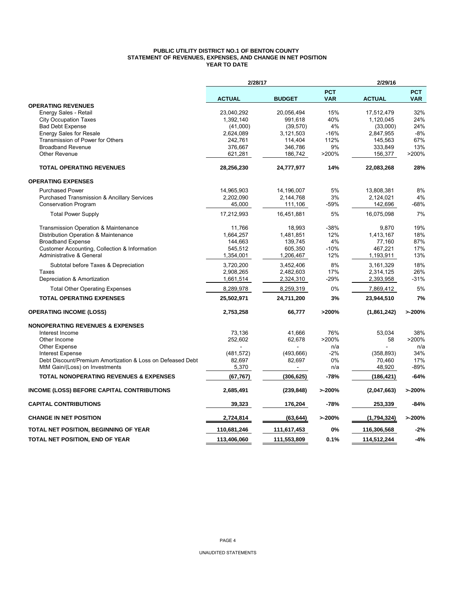#### **PUBLIC UTILITY DISTRICT NO.1 OF BENTON COUNTY STATEMENT OF REVENUES, EXPENSES, AND CHANGE IN NET POSITION YEAR TO DATE**

|                                                            | 2/28/17       |               |                          | 2/29/16       |                          |  |
|------------------------------------------------------------|---------------|---------------|--------------------------|---------------|--------------------------|--|
|                                                            | <b>ACTUAL</b> | <b>BUDGET</b> | <b>PCT</b><br><b>VAR</b> | <b>ACTUAL</b> | <b>PCT</b><br><b>VAR</b> |  |
| <b>OPERATING REVENUES</b>                                  |               |               |                          |               |                          |  |
| Energy Sales - Retail                                      | 23,040,292    | 20,056,494    | 15%                      | 17,512,479    | 32%                      |  |
| <b>City Occupation Taxes</b>                               | 1,392,140     | 991,618       | 40%                      | 1,120,045     | 24%                      |  |
| <b>Bad Debt Expense</b>                                    | (41,000)      | (39, 570)     | 4%                       | (33,000)      | 24%                      |  |
| <b>Energy Sales for Resale</b>                             | 2,624,089     | 3,121,503     | $-16%$                   | 2,847,955     | $-8%$                    |  |
| Transmission of Power for Others                           | 242,761       | 114,404       | 112%                     | 145,563       | 67%                      |  |
| <b>Broadband Revenue</b>                                   | 376,667       | 346,786       | 9%                       | 333,849       | 13%                      |  |
| Other Revenue                                              | 621,281       | 186,742       | >200%                    | 156,377       | >200%                    |  |
| <b>TOTAL OPERATING REVENUES</b>                            | 28,256,230    | 24,777,977    | 14%                      | 22,083,268    | 28%                      |  |
| <b>OPERATING EXPENSES</b>                                  |               |               |                          |               |                          |  |
| <b>Purchased Power</b>                                     | 14,965,903    | 14,196,007    | 5%                       | 13,808,381    | 8%                       |  |
| <b>Purchased Transmission &amp; Ancillary Services</b>     | 2,202,090     | 2,144,768     | 3%                       | 2,124,021     | 4%                       |  |
| <b>Conservation Program</b>                                | 45,000        | 111,106       | -59%                     | 142,696       | $-68%$                   |  |
| <b>Total Power Supply</b>                                  | 17,212,993    | 16,451,881    | 5%                       | 16,075,098    | 7%                       |  |
| Transmission Operation & Maintenance                       | 11,766        | 18,993        | $-38%$                   | 9,870         | 19%                      |  |
| Distribution Operation & Maintenance                       | 1,664,257     | 1,481,851     | 12%                      | 1,413,167     | 18%                      |  |
| <b>Broadband Expense</b>                                   | 144,663       | 139,745       | 4%                       | 77,160        | 87%                      |  |
| Customer Accounting, Collection & Information              | 545,512       | 605,350       | $-10%$                   | 467,221       | 17%                      |  |
| <b>Administrative &amp; General</b>                        | 1,354,001     | 1,206,467     | 12%                      | 1,193,911     | 13%                      |  |
| Subtotal before Taxes & Depreciation                       | 3,720,200     | 3,452,406     | 8%                       | 3,161,329     | 18%                      |  |
| Taxes                                                      | 2,908,265     | 2,482,603     | 17%                      | 2,314,125     | 26%                      |  |
| Depreciation & Amortization                                | 1,661,514     | 2,324,310     | -29%                     | 2,393,958     | $-31%$                   |  |
| <b>Total Other Operating Expenses</b>                      | 8,289,978     | 8,259,319     | 0%                       | 7,869,412     | 5%                       |  |
| <b>TOTAL OPERATING EXPENSES</b>                            | 25,502,971    | 24,711,200    | 3%                       | 23,944,510    | 7%                       |  |
| <b>OPERATING INCOME (LOSS)</b>                             | 2,753,258     | 66,777        | >200%                    | (1,861,242)   | >200%                    |  |
| <b>NONOPERATING REVENUES &amp; EXPENSES</b>                |               |               |                          |               |                          |  |
| Interest Income                                            | 73,136        | 41,666        | 76%                      | 53,034        | 38%                      |  |
| Other Income                                               | 252,602       | 62,678        | >200%                    | 58            | >200%                    |  |
| <b>Other Expense</b>                                       |               |               | n/a                      |               | n/a                      |  |
| <b>Interest Expense</b>                                    | (481, 572)    | (493, 666)    | $-2%$                    | (358, 893)    | 34%                      |  |
| Debt Discount/Premium Amortization & Loss on Defeased Debt | 82.697        | 82,697        | 0%                       | 70,460        | 17%                      |  |
| MtM Gain/(Loss) on Investments                             | 5,370         |               | n/a                      | 48,920        | $-89%$                   |  |
| <b>TOTAL NONOPERATING REVENUES &amp; EXPENSES</b>          | (67, 767)     | (306, 625)    | -78%                     | (186,421)     | $-64%$                   |  |
| <b>INCOME (LOSS) BEFORE CAPITAL CONTRIBUTIONS</b>          | 2,685,491     | (239, 848)    | >200%                    | (2,047,663)   | >200%                    |  |
| <b>CAPITAL CONTRIBUTIONS</b>                               | 39,323        | 176,204       | -78%                     | 253,339       | $-84%$                   |  |
| <b>CHANGE IN NET POSITION</b>                              | 2,724,814     | (63, 644)     | >200%                    | (1,794,324)   | >200%                    |  |
| <b>TOTAL NET POSITION, BEGINNING OF YEAR</b>               | 110,681,246   | 111,617,453   | 0%                       | 116,306,568   | $-2%$                    |  |
| TOTAL NET POSITION, END OF YEAR                            | 113,406,060   | 111,553,809   | 0.1%                     | 114,512,244   | $-4%$                    |  |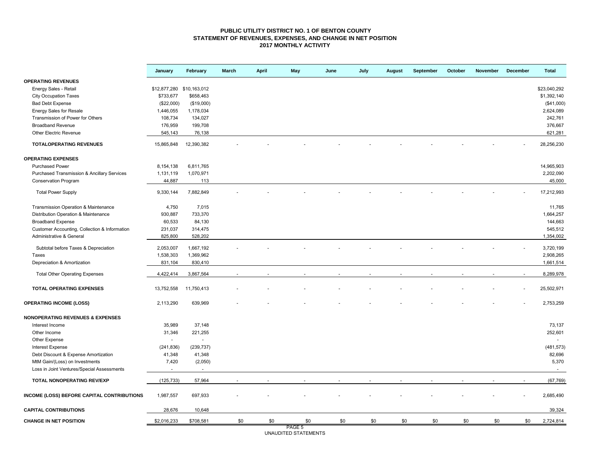#### **PUBLIC UTILITY DISTRICT NO. 1 OF BENTON COUNTY STATEMENT OF REVENUES, EXPENSES, AND CHANGE IN NET POSITION 2017 MONTHLY ACTIVITY**

|                                               | January                   | February   | March | April | May    | June | July | August | September | October | <b>November</b> | <b>December</b> | <b>Total</b> |
|-----------------------------------------------|---------------------------|------------|-------|-------|--------|------|------|--------|-----------|---------|-----------------|-----------------|--------------|
| <b>OPERATING REVENUES</b>                     |                           |            |       |       |        |      |      |        |           |         |                 |                 |              |
| Energy Sales - Retail                         | \$12,877,280 \$10,163,012 |            |       |       |        |      |      |        |           |         |                 |                 | \$23,040,292 |
| <b>City Occupation Taxes</b>                  | \$733,677                 | \$658,463  |       |       |        |      |      |        |           |         |                 |                 | \$1,392,140  |
| <b>Bad Debt Expense</b>                       | (\$22,000)                | (\$19,000) |       |       |        |      |      |        |           |         |                 |                 | (\$41,000)   |
| Energy Sales for Resale                       | 1,446,055                 | 1,178,034  |       |       |        |      |      |        |           |         |                 |                 | 2,624,089    |
| Transmission of Power for Others              | 108,734                   | 134,027    |       |       |        |      |      |        |           |         |                 |                 | 242,761      |
| <b>Broadband Revenue</b>                      | 176,959                   | 199,708    |       |       |        |      |      |        |           |         |                 |                 | 376,667      |
| <b>Other Electric Revenue</b>                 | 545,143                   | 76,138     |       |       |        |      |      |        |           |         |                 |                 | 621,281      |
| <b>TOTALOPERATING REVENUES</b>                | 15,865,848                | 12,390,382 |       |       |        |      |      |        |           |         |                 |                 | 28,256,230   |
| <b>OPERATING EXPENSES</b>                     |                           |            |       |       |        |      |      |        |           |         |                 |                 |              |
| <b>Purchased Power</b>                        | 8,154,138                 | 6,811,765  |       |       |        |      |      |        |           |         |                 |                 | 14,965,903   |
| Purchased Transmission & Ancillary Services   | 1,131,119                 | 1,070,971  |       |       |        |      |      |        |           |         |                 |                 | 2,202,090    |
| <b>Conservation Program</b>                   | 44,887                    | 113        |       |       |        |      |      |        |           |         |                 |                 | 45,000       |
| <b>Total Power Supply</b>                     | 9,330,144                 | 7,882,849  |       |       |        |      |      |        |           |         |                 |                 | 17,212,993   |
| Transmission Operation & Maintenance          | 4,750                     | 7,015      |       |       |        |      |      |        |           |         |                 |                 | 11,765       |
| Distribution Operation & Maintenance          | 930,887                   | 733,370    |       |       |        |      |      |        |           |         |                 |                 | 1,664,257    |
| <b>Broadband Expense</b>                      | 60,533                    | 84,130     |       |       |        |      |      |        |           |         |                 |                 | 144,663      |
| Customer Accounting, Collection & Information | 231,037                   | 314,475    |       |       |        |      |      |        |           |         |                 |                 | 545,512      |
| Administrative & General                      | 825,800                   | 528,202    |       |       |        |      |      |        |           |         |                 |                 | 1,354,002    |
| Subtotal before Taxes & Depreciation          | 2,053,007                 | 1,667,192  |       |       |        |      |      |        |           |         |                 |                 | 3,720,199    |
| <b>Taxes</b>                                  | 1,538,303                 | 1,369,962  |       |       |        |      |      |        |           |         |                 |                 | 2,908,265    |
| Depreciation & Amortization                   | 831,104                   | 830,410    |       |       |        |      |      |        |           |         |                 |                 | 1,661,514    |
| <b>Total Other Operating Expenses</b>         | 4,422,414                 | 3,867,564  |       |       |        |      |      |        |           |         |                 |                 | 8,289,978    |
| <b>TOTAL OPERATING EXPENSES</b>               | 13,752,558                | 11,750,413 |       |       |        |      |      |        |           |         |                 |                 | 25,502,971   |
| <b>OPERATING INCOME (LOSS)</b>                | 2,113,290                 | 639,969    |       |       |        |      |      |        |           |         |                 |                 | 2,753,259    |
| <b>NONOPERATING REVENUES &amp; EXPENSES</b>   |                           |            |       |       |        |      |      |        |           |         |                 |                 |              |
| Interest Income                               | 35,989                    | 37,148     |       |       |        |      |      |        |           |         |                 |                 | 73,137       |
| Other Income                                  | 31,346                    | 221,255    |       |       |        |      |      |        |           |         |                 |                 | 252,601      |
| Other Expense                                 | ÷,                        | $\omega$   |       |       |        |      |      |        |           |         |                 |                 | $\sim$       |
| Interest Expense                              | (241, 836)                | (239, 737) |       |       |        |      |      |        |           |         |                 |                 | (481, 573)   |
| Debt Discount & Expense Amortization          | 41,348                    | 41,348     |       |       |        |      |      |        |           |         |                 |                 | 82,696       |
| MtM Gain/(Loss) on Investments                | 7,420                     | (2,050)    |       |       |        |      |      |        |           |         |                 |                 | 5,370        |
| Loss in Joint Ventures/Special Assessments    |                           | $\sim$     |       |       |        |      |      |        |           |         |                 |                 | $\sim$       |
| TOTAL NONOPERATING REV/EXP                    | (125, 733)                | 57,964     |       |       |        |      |      |        |           |         |                 |                 | (67, 769)    |
| INCOME (LOSS) BEFORE CAPITAL CONTRIBUTIONS    | 1,987,557                 | 697,933    |       |       |        |      |      |        |           |         |                 |                 | 2,685,490    |
| <b>CAPITAL CONTRIBUTIONS</b>                  | 28,676                    | 10,648     |       |       |        |      |      |        |           |         |                 |                 | 39,324       |
| <b>CHANGE IN NET POSITION</b>                 | \$2,016,233               | \$708,581  | \$0   | \$0   | \$0    | \$0  | \$0  | \$0    | \$0       | \$0     | \$0             | \$0             | 2,724,814    |
|                                               |                           |            |       |       | PAGE 5 |      |      |        |           |         |                 |                 |              |

PAGE 5 UNAUDITED STATEMENTS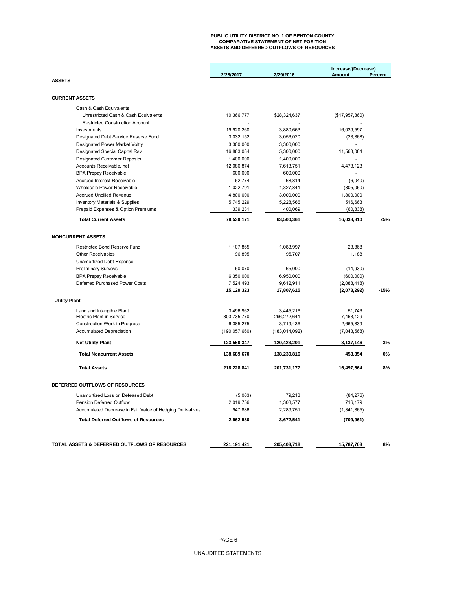# **PUBLIC UTILITY DISTRICT NO. 1 OF BENTON COUNTY COMPARATIVE STATEMENT OF NET POSITION ASSETS AND DEFERRED OUTFLOWS OF RESOURCES**

|                                                           |                 |               | Increase/(Decrease) |         |
|-----------------------------------------------------------|-----------------|---------------|---------------------|---------|
|                                                           | 2/28/2017       | 2/29/2016     | <b>Amount</b>       | Percent |
| <b>ASSETS</b>                                             |                 |               |                     |         |
|                                                           |                 |               |                     |         |
| <b>CURRENT ASSETS</b>                                     |                 |               |                     |         |
| Cash & Cash Equivalents                                   |                 |               |                     |         |
| Unrestricted Cash & Cash Equivalents                      | 10,366,777      | \$28,324,637  | (\$17,957,860)      |         |
| <b>Restricted Construction Account</b>                    |                 |               |                     |         |
| Investments                                               | 19,920,260      | 3,880,663     | 16,039,597          |         |
| Designated Debt Service Reserve Fund                      | 3,032,152       | 3,056,020     | (23, 868)           |         |
| Designated Power Market Voltly                            | 3,300,000       | 3,300,000     |                     |         |
| Designated Special Capital Rsv                            | 16,863,084      | 5,300,000     | 11,563,084          |         |
| <b>Designated Customer Deposits</b>                       | 1,400,000       | 1,400,000     |                     |         |
| Accounts Receivable, net                                  | 12,086,874      | 7,613,751     | 4,473,123           |         |
| <b>BPA Prepay Receivable</b>                              | 600,000         | 600,000       |                     |         |
| Accrued Interest Receivable                               | 62,774          | 68,814        | (6,040)             |         |
| Wholesale Power Receivable                                | 1,022,791       | 1,327,841     | (305,050)           |         |
| <b>Accrued Unbilled Revenue</b>                           | 4,800,000       | 3,000,000     | 1,800,000           |         |
| Inventory Materials & Supplies                            | 5,745,229       | 5,228,566     | 516,663             |         |
| Prepaid Expenses & Option Premiums                        | 339,231         | 400,069       | (60, 838)           |         |
| <b>Total Current Assets</b>                               | 79,539,171      | 63,500,361    | 16,038,810          | 25%     |
|                                                           |                 |               |                     |         |
|                                                           |                 |               |                     |         |
| <b>NONCURRENT ASSETS</b>                                  |                 |               |                     |         |
| <b>Restricted Bond Reserve Fund</b>                       | 1,107,865       | 1,083,997     | 23,868              |         |
| <b>Other Receivables</b>                                  | 96,895          | 95,707        | 1,188               |         |
| Unamortized Debt Expense                                  |                 |               |                     |         |
| <b>Preliminary Surveys</b>                                | 50,070          | 65,000        | (14, 930)           |         |
| <b>BPA Prepay Receivable</b>                              | 6,350,000       | 6,950,000     | (600,000)           |         |
| Deferred Purchased Power Costs                            | 7,524,493       | 9,612,911     | (2,088,418)         |         |
|                                                           | 15,129,323      | 17,807,615    | (2,078,292)         | $-15%$  |
| <b>Utility Plant</b>                                      |                 |               |                     |         |
| Land and Intangible Plant                                 | 3,496,962       | 3,445,216     | 51,746              |         |
| <b>Electric Plant in Service</b>                          | 303,735,770     | 296,272,641   | 7,463,129           |         |
| <b>Construction Work in Progress</b>                      | 6,385,275       | 3,719,436     | 2,665,839           |         |
| <b>Accumulated Depreciation</b>                           | (190, 057, 660) | (183,014,092) | (7,043,568)         |         |
| <b>Net Utility Plant</b>                                  | 123,560,347     | 120,423,201   | 3,137,146           | 3%      |
| <b>Total Noncurrent Assets</b>                            | 138,689,670     | 138,230,816   | 458,854             | 0%      |
|                                                           |                 |               |                     |         |
| <b>Total Assets</b>                                       | 218,228,841     | 201,731,177   | 16,497,664          | 8%      |
|                                                           |                 |               |                     |         |
| DEFERRED OUTFLOWS OF RESOURCES                            |                 |               |                     |         |
| Unamortized Loss on Defeased Debt                         | (5,063)         | 79,213        | (84, 276)           |         |
| Pension Deferred Outflow                                  | 2,019,756       | 1,303,577     | 716,179             |         |
| Accumulated Decrease in Fair Value of Hedging Derivatives | 947,886         | 2,289,751     | (1, 341, 865)       |         |
| <b>Total Deferred Outflows of Resources</b>               | 2,962,580       | 3,672,541     | (709, 961)          |         |
|                                                           |                 |               |                     |         |
|                                                           |                 |               |                     |         |
| TOTAL ASSETS & DEFERRED OUTFLOWS OF RESOURCES             | 221, 191, 421   | 205,403,718   | 15,787,703          | 8%      |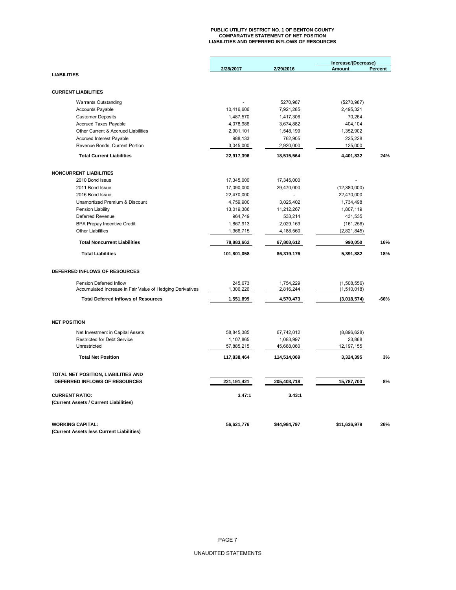# **PUBLIC UTILITY DISTRICT NO. 1 OF BENTON COUNTY COMPARATIVE STATEMENT OF NET POSITION LIABILITIES AND DEFERRED INFLOWS OF RESOURCES**

|                                                           |             |              | Increase/(Decrease) |         |
|-----------------------------------------------------------|-------------|--------------|---------------------|---------|
|                                                           | 2/28/2017   | 2/29/2016    | <b>Amount</b>       | Percent |
| <b>LIABILITIES</b>                                        |             |              |                     |         |
| <b>CURRENT LIABILITIES</b>                                |             |              |                     |         |
|                                                           |             |              |                     |         |
| <b>Warrants Outstanding</b>                               |             | \$270,987    | (\$270,987)         |         |
| Accounts Payable                                          | 10,416,606  | 7,921,285    | 2,495,321           |         |
| <b>Customer Deposits</b>                                  | 1,487,570   | 1,417,306    | 70,264              |         |
| Accrued Taxes Payable                                     | 4,078,986   | 3,674,882    | 404,104             |         |
| Other Current & Accrued Liabilities                       | 2,901,101   | 1,548,199    | 1,352,902           |         |
| Accrued Interest Payable                                  | 988,133     | 762,905      | 225,228             |         |
| Revenue Bonds, Current Portion                            | 3,045,000   | 2,920,000    | 125,000             |         |
| <b>Total Current Liabilities</b>                          | 22,917,396  | 18,515,564   | 4,401,832           | 24%     |
| <b>NONCURRENT LIABILITIES</b>                             |             |              |                     |         |
| 2010 Bond Issue                                           | 17,345,000  | 17,345,000   |                     |         |
| 2011 Bond Issue                                           | 17,090,000  | 29,470,000   | (12,380,000)        |         |
| 2016 Bond Issue                                           | 22,470,000  |              | 22,470,000          |         |
| Unamortized Premium & Discount                            | 4,759,900   | 3,025,402    | 1,734,498           |         |
| <b>Pension Liability</b>                                  | 13,019,386  | 11,212,267   | 1,807,119           |         |
| Deferred Revenue                                          | 964,749     | 533,214      | 431,535             |         |
| <b>BPA Prepay Incentive Credit</b>                        | 1,867,913   | 2,029,169    | (161, 256)          |         |
| <b>Other Liabilities</b>                                  | 1,366,715   | 4,188,560    | (2,821,845)         |         |
| <b>Total Noncurrent Liabilities</b>                       | 78,883,662  | 67,803,612   | 990,050             | 16%     |
| <b>Total Liabilities</b>                                  | 101,801,058 | 86,319,176   | 5,391,882           | 18%     |
| DEFERRED INFLOWS OF RESOURCES                             |             |              |                     |         |
| Pension Deferred Inflow                                   | 245,673     | 1,754,229    | (1,508,556)         |         |
| Accumulated Increase in Fair Value of Hedging Derivatives | 1,306,226   | 2,816,244    | (1,510,018)         |         |
| <b>Total Deferred Inflows of Resources</b>                | 1,551,899   | 4,570,473    | (3,018,574)         | $-66%$  |
| <b>NET POSITION</b>                                       |             |              |                     |         |
|                                                           |             |              |                     |         |
| Net Investment in Capital Assets                          | 58,845,385  | 67,742,012   | (8,896,628)         |         |
| <b>Restricted for Debt Service</b>                        | 1,107,865   | 1,083,997    | 23,868              |         |
| Unrestricted                                              | 57,885,215  | 45,688,060   | 12, 197, 155        |         |
| <b>Total Net Position</b>                                 | 117,838,464 | 114,514,069  | 3,324,395           | 3%      |
| TOTAL NET POSITION, LIABILITIES AND                       |             |              |                     |         |
| DEFERRED INFLOWS OF RESOURCES                             | 221,191,421 | 205,403,718  | 15,787,703          | 8%      |
| <b>CURRENT RATIO:</b>                                     | 3.47:1      | 3.43:1       |                     |         |
| (Current Assets / Current Liabilities)                    |             |              |                     |         |
| <b>WORKING CAPITAL:</b>                                   | 56,621,776  | \$44,984,797 | \$11,636,979        | 26%     |
| (Current Assets less Current Liabilities)                 |             |              |                     |         |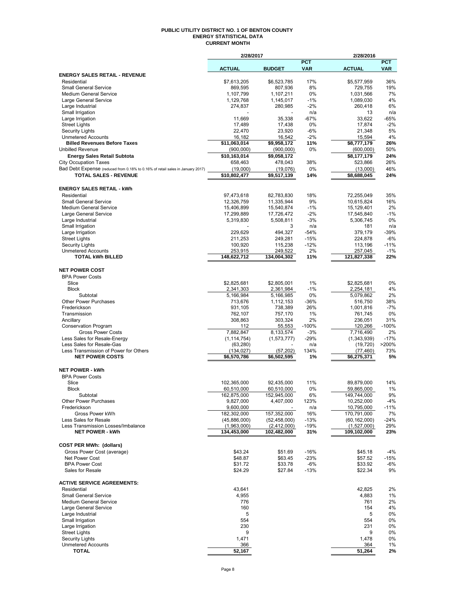#### **PUBLIC UTILITY DISTRICT NO. 1 OF BENTON COUNTY ENERGY STATISTICAL DATA CURRENT MONTH**

| <b>ACTUAL</b><br><b>BUDGET</b><br><b>VAR</b><br><b>ACTUAL</b><br><b>VAR</b><br><b>ENERGY SALES RETAIL - REVENUE</b><br>17%<br>36%<br>Residential<br>\$7,613,205<br>\$6,523,785<br>\$5,577,959<br>869,595<br>807,936<br>8%<br>729,755<br>19%<br><b>Small General Service</b><br>1,107,211<br>0%<br>7%<br><b>Medium General Service</b><br>1,107,799<br>1,031,566<br>1,129,768<br>1,145,017<br>$-1%$<br>1,089,030<br>4%<br>Large General Service<br>$-2%$<br>6%<br>Large Industrial<br>274,837<br>280.985<br>260,418<br>n/a<br>Small Irrigation<br>n/a<br>13<br>$-65%$<br>11,669<br>35,338<br>$-67%$<br>33,622<br>Large Irrigation<br>17,489<br>17,438<br>0%<br>17,874<br>$-2%$<br><b>Street Lights</b><br>5%<br><b>Security Lights</b><br>22,470<br>23,920<br>-6%<br>21,348<br>4%<br>16,542<br>$-2%$<br><b>Unmetered Accounts</b><br>16,182<br>15,594<br>26%<br><b>Billed Revenues Before Taxes</b><br>\$11,063,014<br>\$9,958,172<br>11%<br>\$8,777,179<br>0%<br>50%<br><b>Unbilled Revenue</b><br>(900,000)<br>(900,000)<br>(600,000)<br>\$10,163,014<br>\$8,177,179<br>24%<br><b>Energy Sales Retail Subtota</b><br>\$9,058,172<br>38%<br>26%<br><b>City Occupation Taxes</b><br>658,463<br>478,043<br>523,866<br>Bad Debt Expense (reduced from 0.18% to 0.16% of retail sales in January 2017)<br>46%<br>(19,000)<br>(19,076)<br>0%<br>(13,000)<br><b>TOTAL SALES - REVENUE</b><br>\$10,802,477<br>\$9,517,139<br>\$8,688,045<br>24%<br>14%<br><b>ENERGY SALES RETAIL - kWh</b><br>35%<br>Residential<br>97,473,618<br>82,783,830<br>18%<br>72,255,049<br>9%<br><b>Small General Service</b><br>12,326,759<br>11,335,944<br>10,615,824<br>16%<br>2%<br><b>Medium General Service</b><br>15,406,899<br>15,540,874<br>$-1%$<br>15,129,401<br>17,299,889<br>17,726,472<br>$-2%$<br>$-1%$<br>Large General Service<br>17,545,840<br>0%<br>Large Industrial<br>5,319,830<br>5,508,811<br>-3%<br>5,306,745<br>Small Irrigation<br>3<br>n/a<br>181<br>n/a<br>494,327<br>$-54%$<br>$-39%$<br>Large Irrigation<br>229,629<br>379,179<br>249,281<br>$-15%$<br>$-6%$<br><b>Street Lights</b><br>211,253<br>224,878<br>$-11%$<br><b>Security Lights</b><br>100,920<br>115,238<br>$-12%$<br>113,196<br>253,915<br>2%<br>$-1%$<br><b>Unmetered Accounts</b><br>249,522<br>257,045<br>22%<br><b>TOTAL kWh BILLED</b><br>148,622,712<br>134,004,302<br>121,827,338<br>11%<br><b>NET POWER COST</b><br><b>BPA Power Costs</b><br>Slice<br>\$2,825,681<br>1%<br>0%<br>\$2,805,001<br>\$2,825,681<br>4%<br><b>Block</b><br>2,341,303<br>$-1%$<br>2,254,181<br>2,361,984<br>Subtotal<br>5,166,984<br>0%<br>5,079,862<br>2%<br>5,166,985<br><b>Other Power Purchases</b><br>$-36%$<br>516,750<br>38%<br>713,676<br>1,112,153<br>Frederickson<br>738,389<br>26%<br>1,001,816<br>$-7%$<br>931,105<br>1%<br>0%<br>Transmission<br>762,107<br>757,170<br>761,745<br>303,324<br>2%<br>31%<br>Ancillary<br>308,863<br>236,051<br>$-100%$<br>$-100%$<br>120,266<br><b>Conservation Program</b><br>112<br>55,553<br>7,882,847<br>8,133,574<br>7,716,490<br>2%<br><b>Gross Power Costs</b><br>-3%<br>$-17%$<br>Less Sales for Resale-Energy<br>(1, 114, 754)<br>(1, 573, 777)<br>$-29%$<br>(1,343,939)<br>Less Sales for Resale-Gas<br>>200%<br>(63, 280)<br>n/a<br>(19, 720)<br>Less Transmission of Power for Others<br>134%<br>73%<br>(134, 027)<br>(57, 202)<br>(77, 460)<br><b>NET POWER COSTS</b><br>\$6,570,786<br>\$6,502,595<br>\$6,275,371<br>5%<br>1%<br><b>NET POWER - kWh</b><br><b>BPA Power Costs</b><br>Slice<br>11%<br>14%<br>102,365,000<br>92,435,000<br>89,879,000<br>1%<br>Block<br>0%<br>59,865,000<br>60,510,000<br>60,510,000<br>162,875,000<br>152,945,000<br>149,744,000<br>9%<br>Subtotal<br>6%<br>Other Power Purchases<br>9,827,000<br>4,407,000<br>10,252,000<br>$-4%$<br>123%<br>9,600,000<br>$-11%$<br>Frederickson<br>10,795,000<br>n/a<br>182,302,000<br>157,352,000<br>170,791,000<br>7%<br>Gross Power kWh<br>16%<br>(45,886,000)<br>$-24%$<br>Less Sales for Resale<br>(52, 458, 000)<br>$-13%$<br>(60, 162, 000)<br>(1,963,000)<br>(1,527,000)<br>29%<br>Less Transmission Losses/Imbalance<br>(2,412,000)<br>$-19%$<br>134,453,000<br>109,102,000<br><b>NET POWER - kWh</b><br>102,482,000<br>31%<br>23%<br><b>COST PER MWh: (dollars)</b><br>Gross Power Cost (average)<br>\$43.24<br>\$51.69<br>$-16%$<br>$-4%$<br>\$45.18<br>\$48.87<br>\$63.45<br>$-23%$<br>-15%<br>Net Power Cost<br>\$57.52<br><b>BPA Power Cost</b><br>\$31.72<br>\$33.78<br>$-6%$<br>\$33.92<br>-6%<br>Sales for Resale<br>\$24.29<br>\$27.84<br>$-13%$<br>\$22.34<br>9%<br><b>ACTIVE SERVICE AGREEMENTS:</b><br>43,641<br>42,825<br>Residential<br>2%<br><b>Small General Service</b><br>4,955<br>4,883<br>1%<br>2%<br><b>Medium General Service</b><br>776<br>761<br>160<br>154<br>4%<br>Large General Service<br>5<br>Large Industrial<br>5<br>$0\%$<br>Small Irrigation<br>554<br>554<br>0%<br>Large Irrigation<br>230<br>231<br>0%<br>9<br>0%<br><b>Street Lights</b><br>9<br>1,471<br>1,478<br>0%<br><b>Security Lights</b><br><b>Unmetered Accounts</b><br>366<br>$1\%$<br>364<br>TOTAL<br>52,167<br>51,264<br>2% | 2/28/2017 |            | 2/28/2016 |            |
|---------------------------------------------------------------------------------------------------------------------------------------------------------------------------------------------------------------------------------------------------------------------------------------------------------------------------------------------------------------------------------------------------------------------------------------------------------------------------------------------------------------------------------------------------------------------------------------------------------------------------------------------------------------------------------------------------------------------------------------------------------------------------------------------------------------------------------------------------------------------------------------------------------------------------------------------------------------------------------------------------------------------------------------------------------------------------------------------------------------------------------------------------------------------------------------------------------------------------------------------------------------------------------------------------------------------------------------------------------------------------------------------------------------------------------------------------------------------------------------------------------------------------------------------------------------------------------------------------------------------------------------------------------------------------------------------------------------------------------------------------------------------------------------------------------------------------------------------------------------------------------------------------------------------------------------------------------------------------------------------------------------------------------------------------------------------------------------------------------------------------------------------------------------------------------------------------------------------------------------------------------------------------------------------------------------------------------------------------------------------------------------------------------------------------------------------------------------------------------------------------------------------------------------------------------------------------------------------------------------------------------------------------------------------------------------------------------------------------------------------------------------------------------------------------------------------------------------------------------------------------------------------------------------------------------------------------------------------------------------------------------------------------------------------------------------------------------------------------------------------------------------------------------------------------------------------------------------------------------------------------------------------------------------------------------------------------------------------------------------------------------------------------------------------------------------------------------------------------------------------------------------------------------------------------------------------------------------------------------------------------------------------------------------------------------------------------------------------------------------------------------------------------------------------------------------------------------------------------------------------------------------------------------------------------------------------------------------------------------------------------------------------------------------------------------------------------------------------------------------------------------------------------------------------------------------------------------------------------------------------------------------------------------------------------------------------------------------------------------------------------------------------------------------------------------------------------------------------------------------------------------------------------------------------------------------------------------------------------------------------------------------------------------------------------------------------------------------------------------------------------------------------------------------------------------------------------------------------------------------------------------------------------------------------------------------------------------------------------------------------------------------------------------------------------------------------------------------------------------------|-----------|------------|-----------|------------|
|                                                                                                                                                                                                                                                                                                                                                                                                                                                                                                                                                                                                                                                                                                                                                                                                                                                                                                                                                                                                                                                                                                                                                                                                                                                                                                                                                                                                                                                                                                                                                                                                                                                                                                                                                                                                                                                                                                                                                                                                                                                                                                                                                                                                                                                                                                                                                                                                                                                                                                                                                                                                                                                                                                                                                                                                                                                                                                                                                                                                                                                                                                                                                                                                                                                                                                                                                                                                                                                                                                                                                                                                                                                                                                                                                                                                                                                                                                                                                                                                                                                                                                                                                                                                                                                                                                                                                                                                                                                                                                                                                                                                                                                                                                                                                                                                                                                                                                                                                                                                                                                                                                               |           | <b>PCT</b> |           | <b>PCT</b> |
|                                                                                                                                                                                                                                                                                                                                                                                                                                                                                                                                                                                                                                                                                                                                                                                                                                                                                                                                                                                                                                                                                                                                                                                                                                                                                                                                                                                                                                                                                                                                                                                                                                                                                                                                                                                                                                                                                                                                                                                                                                                                                                                                                                                                                                                                                                                                                                                                                                                                                                                                                                                                                                                                                                                                                                                                                                                                                                                                                                                                                                                                                                                                                                                                                                                                                                                                                                                                                                                                                                                                                                                                                                                                                                                                                                                                                                                                                                                                                                                                                                                                                                                                                                                                                                                                                                                                                                                                                                                                                                                                                                                                                                                                                                                                                                                                                                                                                                                                                                                                                                                                                                               |           |            |           |            |
|                                                                                                                                                                                                                                                                                                                                                                                                                                                                                                                                                                                                                                                                                                                                                                                                                                                                                                                                                                                                                                                                                                                                                                                                                                                                                                                                                                                                                                                                                                                                                                                                                                                                                                                                                                                                                                                                                                                                                                                                                                                                                                                                                                                                                                                                                                                                                                                                                                                                                                                                                                                                                                                                                                                                                                                                                                                                                                                                                                                                                                                                                                                                                                                                                                                                                                                                                                                                                                                                                                                                                                                                                                                                                                                                                                                                                                                                                                                                                                                                                                                                                                                                                                                                                                                                                                                                                                                                                                                                                                                                                                                                                                                                                                                                                                                                                                                                                                                                                                                                                                                                                                               |           |            |           |            |
|                                                                                                                                                                                                                                                                                                                                                                                                                                                                                                                                                                                                                                                                                                                                                                                                                                                                                                                                                                                                                                                                                                                                                                                                                                                                                                                                                                                                                                                                                                                                                                                                                                                                                                                                                                                                                                                                                                                                                                                                                                                                                                                                                                                                                                                                                                                                                                                                                                                                                                                                                                                                                                                                                                                                                                                                                                                                                                                                                                                                                                                                                                                                                                                                                                                                                                                                                                                                                                                                                                                                                                                                                                                                                                                                                                                                                                                                                                                                                                                                                                                                                                                                                                                                                                                                                                                                                                                                                                                                                                                                                                                                                                                                                                                                                                                                                                                                                                                                                                                                                                                                                                               |           |            |           |            |
|                                                                                                                                                                                                                                                                                                                                                                                                                                                                                                                                                                                                                                                                                                                                                                                                                                                                                                                                                                                                                                                                                                                                                                                                                                                                                                                                                                                                                                                                                                                                                                                                                                                                                                                                                                                                                                                                                                                                                                                                                                                                                                                                                                                                                                                                                                                                                                                                                                                                                                                                                                                                                                                                                                                                                                                                                                                                                                                                                                                                                                                                                                                                                                                                                                                                                                                                                                                                                                                                                                                                                                                                                                                                                                                                                                                                                                                                                                                                                                                                                                                                                                                                                                                                                                                                                                                                                                                                                                                                                                                                                                                                                                                                                                                                                                                                                                                                                                                                                                                                                                                                                                               |           |            |           |            |
|                                                                                                                                                                                                                                                                                                                                                                                                                                                                                                                                                                                                                                                                                                                                                                                                                                                                                                                                                                                                                                                                                                                                                                                                                                                                                                                                                                                                                                                                                                                                                                                                                                                                                                                                                                                                                                                                                                                                                                                                                                                                                                                                                                                                                                                                                                                                                                                                                                                                                                                                                                                                                                                                                                                                                                                                                                                                                                                                                                                                                                                                                                                                                                                                                                                                                                                                                                                                                                                                                                                                                                                                                                                                                                                                                                                                                                                                                                                                                                                                                                                                                                                                                                                                                                                                                                                                                                                                                                                                                                                                                                                                                                                                                                                                                                                                                                                                                                                                                                                                                                                                                                               |           |            |           |            |
|                                                                                                                                                                                                                                                                                                                                                                                                                                                                                                                                                                                                                                                                                                                                                                                                                                                                                                                                                                                                                                                                                                                                                                                                                                                                                                                                                                                                                                                                                                                                                                                                                                                                                                                                                                                                                                                                                                                                                                                                                                                                                                                                                                                                                                                                                                                                                                                                                                                                                                                                                                                                                                                                                                                                                                                                                                                                                                                                                                                                                                                                                                                                                                                                                                                                                                                                                                                                                                                                                                                                                                                                                                                                                                                                                                                                                                                                                                                                                                                                                                                                                                                                                                                                                                                                                                                                                                                                                                                                                                                                                                                                                                                                                                                                                                                                                                                                                                                                                                                                                                                                                                               |           |            |           |            |
|                                                                                                                                                                                                                                                                                                                                                                                                                                                                                                                                                                                                                                                                                                                                                                                                                                                                                                                                                                                                                                                                                                                                                                                                                                                                                                                                                                                                                                                                                                                                                                                                                                                                                                                                                                                                                                                                                                                                                                                                                                                                                                                                                                                                                                                                                                                                                                                                                                                                                                                                                                                                                                                                                                                                                                                                                                                                                                                                                                                                                                                                                                                                                                                                                                                                                                                                                                                                                                                                                                                                                                                                                                                                                                                                                                                                                                                                                                                                                                                                                                                                                                                                                                                                                                                                                                                                                                                                                                                                                                                                                                                                                                                                                                                                                                                                                                                                                                                                                                                                                                                                                                               |           |            |           |            |
|                                                                                                                                                                                                                                                                                                                                                                                                                                                                                                                                                                                                                                                                                                                                                                                                                                                                                                                                                                                                                                                                                                                                                                                                                                                                                                                                                                                                                                                                                                                                                                                                                                                                                                                                                                                                                                                                                                                                                                                                                                                                                                                                                                                                                                                                                                                                                                                                                                                                                                                                                                                                                                                                                                                                                                                                                                                                                                                                                                                                                                                                                                                                                                                                                                                                                                                                                                                                                                                                                                                                                                                                                                                                                                                                                                                                                                                                                                                                                                                                                                                                                                                                                                                                                                                                                                                                                                                                                                                                                                                                                                                                                                                                                                                                                                                                                                                                                                                                                                                                                                                                                                               |           |            |           |            |
|                                                                                                                                                                                                                                                                                                                                                                                                                                                                                                                                                                                                                                                                                                                                                                                                                                                                                                                                                                                                                                                                                                                                                                                                                                                                                                                                                                                                                                                                                                                                                                                                                                                                                                                                                                                                                                                                                                                                                                                                                                                                                                                                                                                                                                                                                                                                                                                                                                                                                                                                                                                                                                                                                                                                                                                                                                                                                                                                                                                                                                                                                                                                                                                                                                                                                                                                                                                                                                                                                                                                                                                                                                                                                                                                                                                                                                                                                                                                                                                                                                                                                                                                                                                                                                                                                                                                                                                                                                                                                                                                                                                                                                                                                                                                                                                                                                                                                                                                                                                                                                                                                                               |           |            |           |            |
|                                                                                                                                                                                                                                                                                                                                                                                                                                                                                                                                                                                                                                                                                                                                                                                                                                                                                                                                                                                                                                                                                                                                                                                                                                                                                                                                                                                                                                                                                                                                                                                                                                                                                                                                                                                                                                                                                                                                                                                                                                                                                                                                                                                                                                                                                                                                                                                                                                                                                                                                                                                                                                                                                                                                                                                                                                                                                                                                                                                                                                                                                                                                                                                                                                                                                                                                                                                                                                                                                                                                                                                                                                                                                                                                                                                                                                                                                                                                                                                                                                                                                                                                                                                                                                                                                                                                                                                                                                                                                                                                                                                                                                                                                                                                                                                                                                                                                                                                                                                                                                                                                                               |           |            |           |            |
|                                                                                                                                                                                                                                                                                                                                                                                                                                                                                                                                                                                                                                                                                                                                                                                                                                                                                                                                                                                                                                                                                                                                                                                                                                                                                                                                                                                                                                                                                                                                                                                                                                                                                                                                                                                                                                                                                                                                                                                                                                                                                                                                                                                                                                                                                                                                                                                                                                                                                                                                                                                                                                                                                                                                                                                                                                                                                                                                                                                                                                                                                                                                                                                                                                                                                                                                                                                                                                                                                                                                                                                                                                                                                                                                                                                                                                                                                                                                                                                                                                                                                                                                                                                                                                                                                                                                                                                                                                                                                                                                                                                                                                                                                                                                                                                                                                                                                                                                                                                                                                                                                                               |           |            |           |            |
|                                                                                                                                                                                                                                                                                                                                                                                                                                                                                                                                                                                                                                                                                                                                                                                                                                                                                                                                                                                                                                                                                                                                                                                                                                                                                                                                                                                                                                                                                                                                                                                                                                                                                                                                                                                                                                                                                                                                                                                                                                                                                                                                                                                                                                                                                                                                                                                                                                                                                                                                                                                                                                                                                                                                                                                                                                                                                                                                                                                                                                                                                                                                                                                                                                                                                                                                                                                                                                                                                                                                                                                                                                                                                                                                                                                                                                                                                                                                                                                                                                                                                                                                                                                                                                                                                                                                                                                                                                                                                                                                                                                                                                                                                                                                                                                                                                                                                                                                                                                                                                                                                                               |           |            |           |            |
|                                                                                                                                                                                                                                                                                                                                                                                                                                                                                                                                                                                                                                                                                                                                                                                                                                                                                                                                                                                                                                                                                                                                                                                                                                                                                                                                                                                                                                                                                                                                                                                                                                                                                                                                                                                                                                                                                                                                                                                                                                                                                                                                                                                                                                                                                                                                                                                                                                                                                                                                                                                                                                                                                                                                                                                                                                                                                                                                                                                                                                                                                                                                                                                                                                                                                                                                                                                                                                                                                                                                                                                                                                                                                                                                                                                                                                                                                                                                                                                                                                                                                                                                                                                                                                                                                                                                                                                                                                                                                                                                                                                                                                                                                                                                                                                                                                                                                                                                                                                                                                                                                                               |           |            |           |            |
|                                                                                                                                                                                                                                                                                                                                                                                                                                                                                                                                                                                                                                                                                                                                                                                                                                                                                                                                                                                                                                                                                                                                                                                                                                                                                                                                                                                                                                                                                                                                                                                                                                                                                                                                                                                                                                                                                                                                                                                                                                                                                                                                                                                                                                                                                                                                                                                                                                                                                                                                                                                                                                                                                                                                                                                                                                                                                                                                                                                                                                                                                                                                                                                                                                                                                                                                                                                                                                                                                                                                                                                                                                                                                                                                                                                                                                                                                                                                                                                                                                                                                                                                                                                                                                                                                                                                                                                                                                                                                                                                                                                                                                                                                                                                                                                                                                                                                                                                                                                                                                                                                                               |           |            |           |            |
|                                                                                                                                                                                                                                                                                                                                                                                                                                                                                                                                                                                                                                                                                                                                                                                                                                                                                                                                                                                                                                                                                                                                                                                                                                                                                                                                                                                                                                                                                                                                                                                                                                                                                                                                                                                                                                                                                                                                                                                                                                                                                                                                                                                                                                                                                                                                                                                                                                                                                                                                                                                                                                                                                                                                                                                                                                                                                                                                                                                                                                                                                                                                                                                                                                                                                                                                                                                                                                                                                                                                                                                                                                                                                                                                                                                                                                                                                                                                                                                                                                                                                                                                                                                                                                                                                                                                                                                                                                                                                                                                                                                                                                                                                                                                                                                                                                                                                                                                                                                                                                                                                                               |           |            |           |            |
|                                                                                                                                                                                                                                                                                                                                                                                                                                                                                                                                                                                                                                                                                                                                                                                                                                                                                                                                                                                                                                                                                                                                                                                                                                                                                                                                                                                                                                                                                                                                                                                                                                                                                                                                                                                                                                                                                                                                                                                                                                                                                                                                                                                                                                                                                                                                                                                                                                                                                                                                                                                                                                                                                                                                                                                                                                                                                                                                                                                                                                                                                                                                                                                                                                                                                                                                                                                                                                                                                                                                                                                                                                                                                                                                                                                                                                                                                                                                                                                                                                                                                                                                                                                                                                                                                                                                                                                                                                                                                                                                                                                                                                                                                                                                                                                                                                                                                                                                                                                                                                                                                                               |           |            |           |            |
|                                                                                                                                                                                                                                                                                                                                                                                                                                                                                                                                                                                                                                                                                                                                                                                                                                                                                                                                                                                                                                                                                                                                                                                                                                                                                                                                                                                                                                                                                                                                                                                                                                                                                                                                                                                                                                                                                                                                                                                                                                                                                                                                                                                                                                                                                                                                                                                                                                                                                                                                                                                                                                                                                                                                                                                                                                                                                                                                                                                                                                                                                                                                                                                                                                                                                                                                                                                                                                                                                                                                                                                                                                                                                                                                                                                                                                                                                                                                                                                                                                                                                                                                                                                                                                                                                                                                                                                                                                                                                                                                                                                                                                                                                                                                                                                                                                                                                                                                                                                                                                                                                                               |           |            |           |            |
|                                                                                                                                                                                                                                                                                                                                                                                                                                                                                                                                                                                                                                                                                                                                                                                                                                                                                                                                                                                                                                                                                                                                                                                                                                                                                                                                                                                                                                                                                                                                                                                                                                                                                                                                                                                                                                                                                                                                                                                                                                                                                                                                                                                                                                                                                                                                                                                                                                                                                                                                                                                                                                                                                                                                                                                                                                                                                                                                                                                                                                                                                                                                                                                                                                                                                                                                                                                                                                                                                                                                                                                                                                                                                                                                                                                                                                                                                                                                                                                                                                                                                                                                                                                                                                                                                                                                                                                                                                                                                                                                                                                                                                                                                                                                                                                                                                                                                                                                                                                                                                                                                                               |           |            |           |            |
|                                                                                                                                                                                                                                                                                                                                                                                                                                                                                                                                                                                                                                                                                                                                                                                                                                                                                                                                                                                                                                                                                                                                                                                                                                                                                                                                                                                                                                                                                                                                                                                                                                                                                                                                                                                                                                                                                                                                                                                                                                                                                                                                                                                                                                                                                                                                                                                                                                                                                                                                                                                                                                                                                                                                                                                                                                                                                                                                                                                                                                                                                                                                                                                                                                                                                                                                                                                                                                                                                                                                                                                                                                                                                                                                                                                                                                                                                                                                                                                                                                                                                                                                                                                                                                                                                                                                                                                                                                                                                                                                                                                                                                                                                                                                                                                                                                                                                                                                                                                                                                                                                                               |           |            |           |            |
|                                                                                                                                                                                                                                                                                                                                                                                                                                                                                                                                                                                                                                                                                                                                                                                                                                                                                                                                                                                                                                                                                                                                                                                                                                                                                                                                                                                                                                                                                                                                                                                                                                                                                                                                                                                                                                                                                                                                                                                                                                                                                                                                                                                                                                                                                                                                                                                                                                                                                                                                                                                                                                                                                                                                                                                                                                                                                                                                                                                                                                                                                                                                                                                                                                                                                                                                                                                                                                                                                                                                                                                                                                                                                                                                                                                                                                                                                                                                                                                                                                                                                                                                                                                                                                                                                                                                                                                                                                                                                                                                                                                                                                                                                                                                                                                                                                                                                                                                                                                                                                                                                                               |           |            |           |            |
|                                                                                                                                                                                                                                                                                                                                                                                                                                                                                                                                                                                                                                                                                                                                                                                                                                                                                                                                                                                                                                                                                                                                                                                                                                                                                                                                                                                                                                                                                                                                                                                                                                                                                                                                                                                                                                                                                                                                                                                                                                                                                                                                                                                                                                                                                                                                                                                                                                                                                                                                                                                                                                                                                                                                                                                                                                                                                                                                                                                                                                                                                                                                                                                                                                                                                                                                                                                                                                                                                                                                                                                                                                                                                                                                                                                                                                                                                                                                                                                                                                                                                                                                                                                                                                                                                                                                                                                                                                                                                                                                                                                                                                                                                                                                                                                                                                                                                                                                                                                                                                                                                                               |           |            |           |            |
|                                                                                                                                                                                                                                                                                                                                                                                                                                                                                                                                                                                                                                                                                                                                                                                                                                                                                                                                                                                                                                                                                                                                                                                                                                                                                                                                                                                                                                                                                                                                                                                                                                                                                                                                                                                                                                                                                                                                                                                                                                                                                                                                                                                                                                                                                                                                                                                                                                                                                                                                                                                                                                                                                                                                                                                                                                                                                                                                                                                                                                                                                                                                                                                                                                                                                                                                                                                                                                                                                                                                                                                                                                                                                                                                                                                                                                                                                                                                                                                                                                                                                                                                                                                                                                                                                                                                                                                                                                                                                                                                                                                                                                                                                                                                                                                                                                                                                                                                                                                                                                                                                                               |           |            |           |            |
|                                                                                                                                                                                                                                                                                                                                                                                                                                                                                                                                                                                                                                                                                                                                                                                                                                                                                                                                                                                                                                                                                                                                                                                                                                                                                                                                                                                                                                                                                                                                                                                                                                                                                                                                                                                                                                                                                                                                                                                                                                                                                                                                                                                                                                                                                                                                                                                                                                                                                                                                                                                                                                                                                                                                                                                                                                                                                                                                                                                                                                                                                                                                                                                                                                                                                                                                                                                                                                                                                                                                                                                                                                                                                                                                                                                                                                                                                                                                                                                                                                                                                                                                                                                                                                                                                                                                                                                                                                                                                                                                                                                                                                                                                                                                                                                                                                                                                                                                                                                                                                                                                                               |           |            |           |            |
|                                                                                                                                                                                                                                                                                                                                                                                                                                                                                                                                                                                                                                                                                                                                                                                                                                                                                                                                                                                                                                                                                                                                                                                                                                                                                                                                                                                                                                                                                                                                                                                                                                                                                                                                                                                                                                                                                                                                                                                                                                                                                                                                                                                                                                                                                                                                                                                                                                                                                                                                                                                                                                                                                                                                                                                                                                                                                                                                                                                                                                                                                                                                                                                                                                                                                                                                                                                                                                                                                                                                                                                                                                                                                                                                                                                                                                                                                                                                                                                                                                                                                                                                                                                                                                                                                                                                                                                                                                                                                                                                                                                                                                                                                                                                                                                                                                                                                                                                                                                                                                                                                                               |           |            |           |            |
|                                                                                                                                                                                                                                                                                                                                                                                                                                                                                                                                                                                                                                                                                                                                                                                                                                                                                                                                                                                                                                                                                                                                                                                                                                                                                                                                                                                                                                                                                                                                                                                                                                                                                                                                                                                                                                                                                                                                                                                                                                                                                                                                                                                                                                                                                                                                                                                                                                                                                                                                                                                                                                                                                                                                                                                                                                                                                                                                                                                                                                                                                                                                                                                                                                                                                                                                                                                                                                                                                                                                                                                                                                                                                                                                                                                                                                                                                                                                                                                                                                                                                                                                                                                                                                                                                                                                                                                                                                                                                                                                                                                                                                                                                                                                                                                                                                                                                                                                                                                                                                                                                                               |           |            |           |            |
|                                                                                                                                                                                                                                                                                                                                                                                                                                                                                                                                                                                                                                                                                                                                                                                                                                                                                                                                                                                                                                                                                                                                                                                                                                                                                                                                                                                                                                                                                                                                                                                                                                                                                                                                                                                                                                                                                                                                                                                                                                                                                                                                                                                                                                                                                                                                                                                                                                                                                                                                                                                                                                                                                                                                                                                                                                                                                                                                                                                                                                                                                                                                                                                                                                                                                                                                                                                                                                                                                                                                                                                                                                                                                                                                                                                                                                                                                                                                                                                                                                                                                                                                                                                                                                                                                                                                                                                                                                                                                                                                                                                                                                                                                                                                                                                                                                                                                                                                                                                                                                                                                                               |           |            |           |            |
|                                                                                                                                                                                                                                                                                                                                                                                                                                                                                                                                                                                                                                                                                                                                                                                                                                                                                                                                                                                                                                                                                                                                                                                                                                                                                                                                                                                                                                                                                                                                                                                                                                                                                                                                                                                                                                                                                                                                                                                                                                                                                                                                                                                                                                                                                                                                                                                                                                                                                                                                                                                                                                                                                                                                                                                                                                                                                                                                                                                                                                                                                                                                                                                                                                                                                                                                                                                                                                                                                                                                                                                                                                                                                                                                                                                                                                                                                                                                                                                                                                                                                                                                                                                                                                                                                                                                                                                                                                                                                                                                                                                                                                                                                                                                                                                                                                                                                                                                                                                                                                                                                                               |           |            |           |            |
|                                                                                                                                                                                                                                                                                                                                                                                                                                                                                                                                                                                                                                                                                                                                                                                                                                                                                                                                                                                                                                                                                                                                                                                                                                                                                                                                                                                                                                                                                                                                                                                                                                                                                                                                                                                                                                                                                                                                                                                                                                                                                                                                                                                                                                                                                                                                                                                                                                                                                                                                                                                                                                                                                                                                                                                                                                                                                                                                                                                                                                                                                                                                                                                                                                                                                                                                                                                                                                                                                                                                                                                                                                                                                                                                                                                                                                                                                                                                                                                                                                                                                                                                                                                                                                                                                                                                                                                                                                                                                                                                                                                                                                                                                                                                                                                                                                                                                                                                                                                                                                                                                                               |           |            |           |            |
|                                                                                                                                                                                                                                                                                                                                                                                                                                                                                                                                                                                                                                                                                                                                                                                                                                                                                                                                                                                                                                                                                                                                                                                                                                                                                                                                                                                                                                                                                                                                                                                                                                                                                                                                                                                                                                                                                                                                                                                                                                                                                                                                                                                                                                                                                                                                                                                                                                                                                                                                                                                                                                                                                                                                                                                                                                                                                                                                                                                                                                                                                                                                                                                                                                                                                                                                                                                                                                                                                                                                                                                                                                                                                                                                                                                                                                                                                                                                                                                                                                                                                                                                                                                                                                                                                                                                                                                                                                                                                                                                                                                                                                                                                                                                                                                                                                                                                                                                                                                                                                                                                                               |           |            |           |            |
|                                                                                                                                                                                                                                                                                                                                                                                                                                                                                                                                                                                                                                                                                                                                                                                                                                                                                                                                                                                                                                                                                                                                                                                                                                                                                                                                                                                                                                                                                                                                                                                                                                                                                                                                                                                                                                                                                                                                                                                                                                                                                                                                                                                                                                                                                                                                                                                                                                                                                                                                                                                                                                                                                                                                                                                                                                                                                                                                                                                                                                                                                                                                                                                                                                                                                                                                                                                                                                                                                                                                                                                                                                                                                                                                                                                                                                                                                                                                                                                                                                                                                                                                                                                                                                                                                                                                                                                                                                                                                                                                                                                                                                                                                                                                                                                                                                                                                                                                                                                                                                                                                                               |           |            |           |            |
|                                                                                                                                                                                                                                                                                                                                                                                                                                                                                                                                                                                                                                                                                                                                                                                                                                                                                                                                                                                                                                                                                                                                                                                                                                                                                                                                                                                                                                                                                                                                                                                                                                                                                                                                                                                                                                                                                                                                                                                                                                                                                                                                                                                                                                                                                                                                                                                                                                                                                                                                                                                                                                                                                                                                                                                                                                                                                                                                                                                                                                                                                                                                                                                                                                                                                                                                                                                                                                                                                                                                                                                                                                                                                                                                                                                                                                                                                                                                                                                                                                                                                                                                                                                                                                                                                                                                                                                                                                                                                                                                                                                                                                                                                                                                                                                                                                                                                                                                                                                                                                                                                                               |           |            |           |            |
|                                                                                                                                                                                                                                                                                                                                                                                                                                                                                                                                                                                                                                                                                                                                                                                                                                                                                                                                                                                                                                                                                                                                                                                                                                                                                                                                                                                                                                                                                                                                                                                                                                                                                                                                                                                                                                                                                                                                                                                                                                                                                                                                                                                                                                                                                                                                                                                                                                                                                                                                                                                                                                                                                                                                                                                                                                                                                                                                                                                                                                                                                                                                                                                                                                                                                                                                                                                                                                                                                                                                                                                                                                                                                                                                                                                                                                                                                                                                                                                                                                                                                                                                                                                                                                                                                                                                                                                                                                                                                                                                                                                                                                                                                                                                                                                                                                                                                                                                                                                                                                                                                                               |           |            |           |            |
|                                                                                                                                                                                                                                                                                                                                                                                                                                                                                                                                                                                                                                                                                                                                                                                                                                                                                                                                                                                                                                                                                                                                                                                                                                                                                                                                                                                                                                                                                                                                                                                                                                                                                                                                                                                                                                                                                                                                                                                                                                                                                                                                                                                                                                                                                                                                                                                                                                                                                                                                                                                                                                                                                                                                                                                                                                                                                                                                                                                                                                                                                                                                                                                                                                                                                                                                                                                                                                                                                                                                                                                                                                                                                                                                                                                                                                                                                                                                                                                                                                                                                                                                                                                                                                                                                                                                                                                                                                                                                                                                                                                                                                                                                                                                                                                                                                                                                                                                                                                                                                                                                                               |           |            |           |            |
|                                                                                                                                                                                                                                                                                                                                                                                                                                                                                                                                                                                                                                                                                                                                                                                                                                                                                                                                                                                                                                                                                                                                                                                                                                                                                                                                                                                                                                                                                                                                                                                                                                                                                                                                                                                                                                                                                                                                                                                                                                                                                                                                                                                                                                                                                                                                                                                                                                                                                                                                                                                                                                                                                                                                                                                                                                                                                                                                                                                                                                                                                                                                                                                                                                                                                                                                                                                                                                                                                                                                                                                                                                                                                                                                                                                                                                                                                                                                                                                                                                                                                                                                                                                                                                                                                                                                                                                                                                                                                                                                                                                                                                                                                                                                                                                                                                                                                                                                                                                                                                                                                                               |           |            |           |            |
|                                                                                                                                                                                                                                                                                                                                                                                                                                                                                                                                                                                                                                                                                                                                                                                                                                                                                                                                                                                                                                                                                                                                                                                                                                                                                                                                                                                                                                                                                                                                                                                                                                                                                                                                                                                                                                                                                                                                                                                                                                                                                                                                                                                                                                                                                                                                                                                                                                                                                                                                                                                                                                                                                                                                                                                                                                                                                                                                                                                                                                                                                                                                                                                                                                                                                                                                                                                                                                                                                                                                                                                                                                                                                                                                                                                                                                                                                                                                                                                                                                                                                                                                                                                                                                                                                                                                                                                                                                                                                                                                                                                                                                                                                                                                                                                                                                                                                                                                                                                                                                                                                                               |           |            |           |            |
|                                                                                                                                                                                                                                                                                                                                                                                                                                                                                                                                                                                                                                                                                                                                                                                                                                                                                                                                                                                                                                                                                                                                                                                                                                                                                                                                                                                                                                                                                                                                                                                                                                                                                                                                                                                                                                                                                                                                                                                                                                                                                                                                                                                                                                                                                                                                                                                                                                                                                                                                                                                                                                                                                                                                                                                                                                                                                                                                                                                                                                                                                                                                                                                                                                                                                                                                                                                                                                                                                                                                                                                                                                                                                                                                                                                                                                                                                                                                                                                                                                                                                                                                                                                                                                                                                                                                                                                                                                                                                                                                                                                                                                                                                                                                                                                                                                                                                                                                                                                                                                                                                                               |           |            |           |            |
|                                                                                                                                                                                                                                                                                                                                                                                                                                                                                                                                                                                                                                                                                                                                                                                                                                                                                                                                                                                                                                                                                                                                                                                                                                                                                                                                                                                                                                                                                                                                                                                                                                                                                                                                                                                                                                                                                                                                                                                                                                                                                                                                                                                                                                                                                                                                                                                                                                                                                                                                                                                                                                                                                                                                                                                                                                                                                                                                                                                                                                                                                                                                                                                                                                                                                                                                                                                                                                                                                                                                                                                                                                                                                                                                                                                                                                                                                                                                                                                                                                                                                                                                                                                                                                                                                                                                                                                                                                                                                                                                                                                                                                                                                                                                                                                                                                                                                                                                                                                                                                                                                                               |           |            |           |            |
|                                                                                                                                                                                                                                                                                                                                                                                                                                                                                                                                                                                                                                                                                                                                                                                                                                                                                                                                                                                                                                                                                                                                                                                                                                                                                                                                                                                                                                                                                                                                                                                                                                                                                                                                                                                                                                                                                                                                                                                                                                                                                                                                                                                                                                                                                                                                                                                                                                                                                                                                                                                                                                                                                                                                                                                                                                                                                                                                                                                                                                                                                                                                                                                                                                                                                                                                                                                                                                                                                                                                                                                                                                                                                                                                                                                                                                                                                                                                                                                                                                                                                                                                                                                                                                                                                                                                                                                                                                                                                                                                                                                                                                                                                                                                                                                                                                                                                                                                                                                                                                                                                                               |           |            |           |            |
|                                                                                                                                                                                                                                                                                                                                                                                                                                                                                                                                                                                                                                                                                                                                                                                                                                                                                                                                                                                                                                                                                                                                                                                                                                                                                                                                                                                                                                                                                                                                                                                                                                                                                                                                                                                                                                                                                                                                                                                                                                                                                                                                                                                                                                                                                                                                                                                                                                                                                                                                                                                                                                                                                                                                                                                                                                                                                                                                                                                                                                                                                                                                                                                                                                                                                                                                                                                                                                                                                                                                                                                                                                                                                                                                                                                                                                                                                                                                                                                                                                                                                                                                                                                                                                                                                                                                                                                                                                                                                                                                                                                                                                                                                                                                                                                                                                                                                                                                                                                                                                                                                                               |           |            |           |            |
|                                                                                                                                                                                                                                                                                                                                                                                                                                                                                                                                                                                                                                                                                                                                                                                                                                                                                                                                                                                                                                                                                                                                                                                                                                                                                                                                                                                                                                                                                                                                                                                                                                                                                                                                                                                                                                                                                                                                                                                                                                                                                                                                                                                                                                                                                                                                                                                                                                                                                                                                                                                                                                                                                                                                                                                                                                                                                                                                                                                                                                                                                                                                                                                                                                                                                                                                                                                                                                                                                                                                                                                                                                                                                                                                                                                                                                                                                                                                                                                                                                                                                                                                                                                                                                                                                                                                                                                                                                                                                                                                                                                                                                                                                                                                                                                                                                                                                                                                                                                                                                                                                                               |           |            |           |            |
|                                                                                                                                                                                                                                                                                                                                                                                                                                                                                                                                                                                                                                                                                                                                                                                                                                                                                                                                                                                                                                                                                                                                                                                                                                                                                                                                                                                                                                                                                                                                                                                                                                                                                                                                                                                                                                                                                                                                                                                                                                                                                                                                                                                                                                                                                                                                                                                                                                                                                                                                                                                                                                                                                                                                                                                                                                                                                                                                                                                                                                                                                                                                                                                                                                                                                                                                                                                                                                                                                                                                                                                                                                                                                                                                                                                                                                                                                                                                                                                                                                                                                                                                                                                                                                                                                                                                                                                                                                                                                                                                                                                                                                                                                                                                                                                                                                                                                                                                                                                                                                                                                                               |           |            |           |            |
|                                                                                                                                                                                                                                                                                                                                                                                                                                                                                                                                                                                                                                                                                                                                                                                                                                                                                                                                                                                                                                                                                                                                                                                                                                                                                                                                                                                                                                                                                                                                                                                                                                                                                                                                                                                                                                                                                                                                                                                                                                                                                                                                                                                                                                                                                                                                                                                                                                                                                                                                                                                                                                                                                                                                                                                                                                                                                                                                                                                                                                                                                                                                                                                                                                                                                                                                                                                                                                                                                                                                                                                                                                                                                                                                                                                                                                                                                                                                                                                                                                                                                                                                                                                                                                                                                                                                                                                                                                                                                                                                                                                                                                                                                                                                                                                                                                                                                                                                                                                                                                                                                                               |           |            |           |            |
|                                                                                                                                                                                                                                                                                                                                                                                                                                                                                                                                                                                                                                                                                                                                                                                                                                                                                                                                                                                                                                                                                                                                                                                                                                                                                                                                                                                                                                                                                                                                                                                                                                                                                                                                                                                                                                                                                                                                                                                                                                                                                                                                                                                                                                                                                                                                                                                                                                                                                                                                                                                                                                                                                                                                                                                                                                                                                                                                                                                                                                                                                                                                                                                                                                                                                                                                                                                                                                                                                                                                                                                                                                                                                                                                                                                                                                                                                                                                                                                                                                                                                                                                                                                                                                                                                                                                                                                                                                                                                                                                                                                                                                                                                                                                                                                                                                                                                                                                                                                                                                                                                                               |           |            |           |            |
|                                                                                                                                                                                                                                                                                                                                                                                                                                                                                                                                                                                                                                                                                                                                                                                                                                                                                                                                                                                                                                                                                                                                                                                                                                                                                                                                                                                                                                                                                                                                                                                                                                                                                                                                                                                                                                                                                                                                                                                                                                                                                                                                                                                                                                                                                                                                                                                                                                                                                                                                                                                                                                                                                                                                                                                                                                                                                                                                                                                                                                                                                                                                                                                                                                                                                                                                                                                                                                                                                                                                                                                                                                                                                                                                                                                                                                                                                                                                                                                                                                                                                                                                                                                                                                                                                                                                                                                                                                                                                                                                                                                                                                                                                                                                                                                                                                                                                                                                                                                                                                                                                                               |           |            |           |            |
|                                                                                                                                                                                                                                                                                                                                                                                                                                                                                                                                                                                                                                                                                                                                                                                                                                                                                                                                                                                                                                                                                                                                                                                                                                                                                                                                                                                                                                                                                                                                                                                                                                                                                                                                                                                                                                                                                                                                                                                                                                                                                                                                                                                                                                                                                                                                                                                                                                                                                                                                                                                                                                                                                                                                                                                                                                                                                                                                                                                                                                                                                                                                                                                                                                                                                                                                                                                                                                                                                                                                                                                                                                                                                                                                                                                                                                                                                                                                                                                                                                                                                                                                                                                                                                                                                                                                                                                                                                                                                                                                                                                                                                                                                                                                                                                                                                                                                                                                                                                                                                                                                                               |           |            |           |            |
|                                                                                                                                                                                                                                                                                                                                                                                                                                                                                                                                                                                                                                                                                                                                                                                                                                                                                                                                                                                                                                                                                                                                                                                                                                                                                                                                                                                                                                                                                                                                                                                                                                                                                                                                                                                                                                                                                                                                                                                                                                                                                                                                                                                                                                                                                                                                                                                                                                                                                                                                                                                                                                                                                                                                                                                                                                                                                                                                                                                                                                                                                                                                                                                                                                                                                                                                                                                                                                                                                                                                                                                                                                                                                                                                                                                                                                                                                                                                                                                                                                                                                                                                                                                                                                                                                                                                                                                                                                                                                                                                                                                                                                                                                                                                                                                                                                                                                                                                                                                                                                                                                                               |           |            |           |            |
|                                                                                                                                                                                                                                                                                                                                                                                                                                                                                                                                                                                                                                                                                                                                                                                                                                                                                                                                                                                                                                                                                                                                                                                                                                                                                                                                                                                                                                                                                                                                                                                                                                                                                                                                                                                                                                                                                                                                                                                                                                                                                                                                                                                                                                                                                                                                                                                                                                                                                                                                                                                                                                                                                                                                                                                                                                                                                                                                                                                                                                                                                                                                                                                                                                                                                                                                                                                                                                                                                                                                                                                                                                                                                                                                                                                                                                                                                                                                                                                                                                                                                                                                                                                                                                                                                                                                                                                                                                                                                                                                                                                                                                                                                                                                                                                                                                                                                                                                                                                                                                                                                                               |           |            |           |            |
|                                                                                                                                                                                                                                                                                                                                                                                                                                                                                                                                                                                                                                                                                                                                                                                                                                                                                                                                                                                                                                                                                                                                                                                                                                                                                                                                                                                                                                                                                                                                                                                                                                                                                                                                                                                                                                                                                                                                                                                                                                                                                                                                                                                                                                                                                                                                                                                                                                                                                                                                                                                                                                                                                                                                                                                                                                                                                                                                                                                                                                                                                                                                                                                                                                                                                                                                                                                                                                                                                                                                                                                                                                                                                                                                                                                                                                                                                                                                                                                                                                                                                                                                                                                                                                                                                                                                                                                                                                                                                                                                                                                                                                                                                                                                                                                                                                                                                                                                                                                                                                                                                                               |           |            |           |            |
|                                                                                                                                                                                                                                                                                                                                                                                                                                                                                                                                                                                                                                                                                                                                                                                                                                                                                                                                                                                                                                                                                                                                                                                                                                                                                                                                                                                                                                                                                                                                                                                                                                                                                                                                                                                                                                                                                                                                                                                                                                                                                                                                                                                                                                                                                                                                                                                                                                                                                                                                                                                                                                                                                                                                                                                                                                                                                                                                                                                                                                                                                                                                                                                                                                                                                                                                                                                                                                                                                                                                                                                                                                                                                                                                                                                                                                                                                                                                                                                                                                                                                                                                                                                                                                                                                                                                                                                                                                                                                                                                                                                                                                                                                                                                                                                                                                                                                                                                                                                                                                                                                                               |           |            |           |            |
|                                                                                                                                                                                                                                                                                                                                                                                                                                                                                                                                                                                                                                                                                                                                                                                                                                                                                                                                                                                                                                                                                                                                                                                                                                                                                                                                                                                                                                                                                                                                                                                                                                                                                                                                                                                                                                                                                                                                                                                                                                                                                                                                                                                                                                                                                                                                                                                                                                                                                                                                                                                                                                                                                                                                                                                                                                                                                                                                                                                                                                                                                                                                                                                                                                                                                                                                                                                                                                                                                                                                                                                                                                                                                                                                                                                                                                                                                                                                                                                                                                                                                                                                                                                                                                                                                                                                                                                                                                                                                                                                                                                                                                                                                                                                                                                                                                                                                                                                                                                                                                                                                                               |           |            |           |            |
|                                                                                                                                                                                                                                                                                                                                                                                                                                                                                                                                                                                                                                                                                                                                                                                                                                                                                                                                                                                                                                                                                                                                                                                                                                                                                                                                                                                                                                                                                                                                                                                                                                                                                                                                                                                                                                                                                                                                                                                                                                                                                                                                                                                                                                                                                                                                                                                                                                                                                                                                                                                                                                                                                                                                                                                                                                                                                                                                                                                                                                                                                                                                                                                                                                                                                                                                                                                                                                                                                                                                                                                                                                                                                                                                                                                                                                                                                                                                                                                                                                                                                                                                                                                                                                                                                                                                                                                                                                                                                                                                                                                                                                                                                                                                                                                                                                                                                                                                                                                                                                                                                                               |           |            |           |            |
|                                                                                                                                                                                                                                                                                                                                                                                                                                                                                                                                                                                                                                                                                                                                                                                                                                                                                                                                                                                                                                                                                                                                                                                                                                                                                                                                                                                                                                                                                                                                                                                                                                                                                                                                                                                                                                                                                                                                                                                                                                                                                                                                                                                                                                                                                                                                                                                                                                                                                                                                                                                                                                                                                                                                                                                                                                                                                                                                                                                                                                                                                                                                                                                                                                                                                                                                                                                                                                                                                                                                                                                                                                                                                                                                                                                                                                                                                                                                                                                                                                                                                                                                                                                                                                                                                                                                                                                                                                                                                                                                                                                                                                                                                                                                                                                                                                                                                                                                                                                                                                                                                                               |           |            |           |            |
|                                                                                                                                                                                                                                                                                                                                                                                                                                                                                                                                                                                                                                                                                                                                                                                                                                                                                                                                                                                                                                                                                                                                                                                                                                                                                                                                                                                                                                                                                                                                                                                                                                                                                                                                                                                                                                                                                                                                                                                                                                                                                                                                                                                                                                                                                                                                                                                                                                                                                                                                                                                                                                                                                                                                                                                                                                                                                                                                                                                                                                                                                                                                                                                                                                                                                                                                                                                                                                                                                                                                                                                                                                                                                                                                                                                                                                                                                                                                                                                                                                                                                                                                                                                                                                                                                                                                                                                                                                                                                                                                                                                                                                                                                                                                                                                                                                                                                                                                                                                                                                                                                                               |           |            |           |            |
|                                                                                                                                                                                                                                                                                                                                                                                                                                                                                                                                                                                                                                                                                                                                                                                                                                                                                                                                                                                                                                                                                                                                                                                                                                                                                                                                                                                                                                                                                                                                                                                                                                                                                                                                                                                                                                                                                                                                                                                                                                                                                                                                                                                                                                                                                                                                                                                                                                                                                                                                                                                                                                                                                                                                                                                                                                                                                                                                                                                                                                                                                                                                                                                                                                                                                                                                                                                                                                                                                                                                                                                                                                                                                                                                                                                                                                                                                                                                                                                                                                                                                                                                                                                                                                                                                                                                                                                                                                                                                                                                                                                                                                                                                                                                                                                                                                                                                                                                                                                                                                                                                                               |           |            |           |            |
|                                                                                                                                                                                                                                                                                                                                                                                                                                                                                                                                                                                                                                                                                                                                                                                                                                                                                                                                                                                                                                                                                                                                                                                                                                                                                                                                                                                                                                                                                                                                                                                                                                                                                                                                                                                                                                                                                                                                                                                                                                                                                                                                                                                                                                                                                                                                                                                                                                                                                                                                                                                                                                                                                                                                                                                                                                                                                                                                                                                                                                                                                                                                                                                                                                                                                                                                                                                                                                                                                                                                                                                                                                                                                                                                                                                                                                                                                                                                                                                                                                                                                                                                                                                                                                                                                                                                                                                                                                                                                                                                                                                                                                                                                                                                                                                                                                                                                                                                                                                                                                                                                                               |           |            |           |            |
|                                                                                                                                                                                                                                                                                                                                                                                                                                                                                                                                                                                                                                                                                                                                                                                                                                                                                                                                                                                                                                                                                                                                                                                                                                                                                                                                                                                                                                                                                                                                                                                                                                                                                                                                                                                                                                                                                                                                                                                                                                                                                                                                                                                                                                                                                                                                                                                                                                                                                                                                                                                                                                                                                                                                                                                                                                                                                                                                                                                                                                                                                                                                                                                                                                                                                                                                                                                                                                                                                                                                                                                                                                                                                                                                                                                                                                                                                                                                                                                                                                                                                                                                                                                                                                                                                                                                                                                                                                                                                                                                                                                                                                                                                                                                                                                                                                                                                                                                                                                                                                                                                                               |           |            |           |            |
|                                                                                                                                                                                                                                                                                                                                                                                                                                                                                                                                                                                                                                                                                                                                                                                                                                                                                                                                                                                                                                                                                                                                                                                                                                                                                                                                                                                                                                                                                                                                                                                                                                                                                                                                                                                                                                                                                                                                                                                                                                                                                                                                                                                                                                                                                                                                                                                                                                                                                                                                                                                                                                                                                                                                                                                                                                                                                                                                                                                                                                                                                                                                                                                                                                                                                                                                                                                                                                                                                                                                                                                                                                                                                                                                                                                                                                                                                                                                                                                                                                                                                                                                                                                                                                                                                                                                                                                                                                                                                                                                                                                                                                                                                                                                                                                                                                                                                                                                                                                                                                                                                                               |           |            |           |            |
|                                                                                                                                                                                                                                                                                                                                                                                                                                                                                                                                                                                                                                                                                                                                                                                                                                                                                                                                                                                                                                                                                                                                                                                                                                                                                                                                                                                                                                                                                                                                                                                                                                                                                                                                                                                                                                                                                                                                                                                                                                                                                                                                                                                                                                                                                                                                                                                                                                                                                                                                                                                                                                                                                                                                                                                                                                                                                                                                                                                                                                                                                                                                                                                                                                                                                                                                                                                                                                                                                                                                                                                                                                                                                                                                                                                                                                                                                                                                                                                                                                                                                                                                                                                                                                                                                                                                                                                                                                                                                                                                                                                                                                                                                                                                                                                                                                                                                                                                                                                                                                                                                                               |           |            |           |            |
|                                                                                                                                                                                                                                                                                                                                                                                                                                                                                                                                                                                                                                                                                                                                                                                                                                                                                                                                                                                                                                                                                                                                                                                                                                                                                                                                                                                                                                                                                                                                                                                                                                                                                                                                                                                                                                                                                                                                                                                                                                                                                                                                                                                                                                                                                                                                                                                                                                                                                                                                                                                                                                                                                                                                                                                                                                                                                                                                                                                                                                                                                                                                                                                                                                                                                                                                                                                                                                                                                                                                                                                                                                                                                                                                                                                                                                                                                                                                                                                                                                                                                                                                                                                                                                                                                                                                                                                                                                                                                                                                                                                                                                                                                                                                                                                                                                                                                                                                                                                                                                                                                                               |           |            |           |            |
|                                                                                                                                                                                                                                                                                                                                                                                                                                                                                                                                                                                                                                                                                                                                                                                                                                                                                                                                                                                                                                                                                                                                                                                                                                                                                                                                                                                                                                                                                                                                                                                                                                                                                                                                                                                                                                                                                                                                                                                                                                                                                                                                                                                                                                                                                                                                                                                                                                                                                                                                                                                                                                                                                                                                                                                                                                                                                                                                                                                                                                                                                                                                                                                                                                                                                                                                                                                                                                                                                                                                                                                                                                                                                                                                                                                                                                                                                                                                                                                                                                                                                                                                                                                                                                                                                                                                                                                                                                                                                                                                                                                                                                                                                                                                                                                                                                                                                                                                                                                                                                                                                                               |           |            |           |            |
|                                                                                                                                                                                                                                                                                                                                                                                                                                                                                                                                                                                                                                                                                                                                                                                                                                                                                                                                                                                                                                                                                                                                                                                                                                                                                                                                                                                                                                                                                                                                                                                                                                                                                                                                                                                                                                                                                                                                                                                                                                                                                                                                                                                                                                                                                                                                                                                                                                                                                                                                                                                                                                                                                                                                                                                                                                                                                                                                                                                                                                                                                                                                                                                                                                                                                                                                                                                                                                                                                                                                                                                                                                                                                                                                                                                                                                                                                                                                                                                                                                                                                                                                                                                                                                                                                                                                                                                                                                                                                                                                                                                                                                                                                                                                                                                                                                                                                                                                                                                                                                                                                                               |           |            |           |            |
|                                                                                                                                                                                                                                                                                                                                                                                                                                                                                                                                                                                                                                                                                                                                                                                                                                                                                                                                                                                                                                                                                                                                                                                                                                                                                                                                                                                                                                                                                                                                                                                                                                                                                                                                                                                                                                                                                                                                                                                                                                                                                                                                                                                                                                                                                                                                                                                                                                                                                                                                                                                                                                                                                                                                                                                                                                                                                                                                                                                                                                                                                                                                                                                                                                                                                                                                                                                                                                                                                                                                                                                                                                                                                                                                                                                                                                                                                                                                                                                                                                                                                                                                                                                                                                                                                                                                                                                                                                                                                                                                                                                                                                                                                                                                                                                                                                                                                                                                                                                                                                                                                                               |           |            |           |            |
|                                                                                                                                                                                                                                                                                                                                                                                                                                                                                                                                                                                                                                                                                                                                                                                                                                                                                                                                                                                                                                                                                                                                                                                                                                                                                                                                                                                                                                                                                                                                                                                                                                                                                                                                                                                                                                                                                                                                                                                                                                                                                                                                                                                                                                                                                                                                                                                                                                                                                                                                                                                                                                                                                                                                                                                                                                                                                                                                                                                                                                                                                                                                                                                                                                                                                                                                                                                                                                                                                                                                                                                                                                                                                                                                                                                                                                                                                                                                                                                                                                                                                                                                                                                                                                                                                                                                                                                                                                                                                                                                                                                                                                                                                                                                                                                                                                                                                                                                                                                                                                                                                                               |           |            |           |            |
|                                                                                                                                                                                                                                                                                                                                                                                                                                                                                                                                                                                                                                                                                                                                                                                                                                                                                                                                                                                                                                                                                                                                                                                                                                                                                                                                                                                                                                                                                                                                                                                                                                                                                                                                                                                                                                                                                                                                                                                                                                                                                                                                                                                                                                                                                                                                                                                                                                                                                                                                                                                                                                                                                                                                                                                                                                                                                                                                                                                                                                                                                                                                                                                                                                                                                                                                                                                                                                                                                                                                                                                                                                                                                                                                                                                                                                                                                                                                                                                                                                                                                                                                                                                                                                                                                                                                                                                                                                                                                                                                                                                                                                                                                                                                                                                                                                                                                                                                                                                                                                                                                                               |           |            |           |            |
|                                                                                                                                                                                                                                                                                                                                                                                                                                                                                                                                                                                                                                                                                                                                                                                                                                                                                                                                                                                                                                                                                                                                                                                                                                                                                                                                                                                                                                                                                                                                                                                                                                                                                                                                                                                                                                                                                                                                                                                                                                                                                                                                                                                                                                                                                                                                                                                                                                                                                                                                                                                                                                                                                                                                                                                                                                                                                                                                                                                                                                                                                                                                                                                                                                                                                                                                                                                                                                                                                                                                                                                                                                                                                                                                                                                                                                                                                                                                                                                                                                                                                                                                                                                                                                                                                                                                                                                                                                                                                                                                                                                                                                                                                                                                                                                                                                                                                                                                                                                                                                                                                                               |           |            |           |            |
|                                                                                                                                                                                                                                                                                                                                                                                                                                                                                                                                                                                                                                                                                                                                                                                                                                                                                                                                                                                                                                                                                                                                                                                                                                                                                                                                                                                                                                                                                                                                                                                                                                                                                                                                                                                                                                                                                                                                                                                                                                                                                                                                                                                                                                                                                                                                                                                                                                                                                                                                                                                                                                                                                                                                                                                                                                                                                                                                                                                                                                                                                                                                                                                                                                                                                                                                                                                                                                                                                                                                                                                                                                                                                                                                                                                                                                                                                                                                                                                                                                                                                                                                                                                                                                                                                                                                                                                                                                                                                                                                                                                                                                                                                                                                                                                                                                                                                                                                                                                                                                                                                                               |           |            |           |            |
|                                                                                                                                                                                                                                                                                                                                                                                                                                                                                                                                                                                                                                                                                                                                                                                                                                                                                                                                                                                                                                                                                                                                                                                                                                                                                                                                                                                                                                                                                                                                                                                                                                                                                                                                                                                                                                                                                                                                                                                                                                                                                                                                                                                                                                                                                                                                                                                                                                                                                                                                                                                                                                                                                                                                                                                                                                                                                                                                                                                                                                                                                                                                                                                                                                                                                                                                                                                                                                                                                                                                                                                                                                                                                                                                                                                                                                                                                                                                                                                                                                                                                                                                                                                                                                                                                                                                                                                                                                                                                                                                                                                                                                                                                                                                                                                                                                                                                                                                                                                                                                                                                                               |           |            |           |            |
|                                                                                                                                                                                                                                                                                                                                                                                                                                                                                                                                                                                                                                                                                                                                                                                                                                                                                                                                                                                                                                                                                                                                                                                                                                                                                                                                                                                                                                                                                                                                                                                                                                                                                                                                                                                                                                                                                                                                                                                                                                                                                                                                                                                                                                                                                                                                                                                                                                                                                                                                                                                                                                                                                                                                                                                                                                                                                                                                                                                                                                                                                                                                                                                                                                                                                                                                                                                                                                                                                                                                                                                                                                                                                                                                                                                                                                                                                                                                                                                                                                                                                                                                                                                                                                                                                                                                                                                                                                                                                                                                                                                                                                                                                                                                                                                                                                                                                                                                                                                                                                                                                                               |           |            |           |            |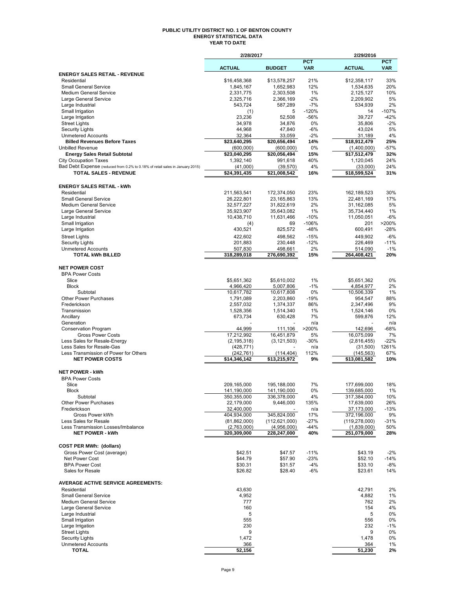#### **PUBLIC UTILITY DISTRICT NO. 1 OF BENTON COUNTY ENERGY STATISTICAL DATA YEAR TO DATE**

|                                                                               | 2/28/2017                     |                                |                          | 2/29/2016                      |                          |
|-------------------------------------------------------------------------------|-------------------------------|--------------------------------|--------------------------|--------------------------------|--------------------------|
|                                                                               | <b>ACTUAL</b>                 | <b>BUDGET</b>                  | <b>PCT</b><br><b>VAR</b> | <b>ACTUAL</b>                  | <b>PCT</b><br><b>VAR</b> |
| <b>ENERGY SALES RETAIL - REVENUE</b>                                          |                               |                                |                          |                                |                          |
| Residential                                                                   | \$16,458,368                  | \$13,578,257                   | 21%                      | \$12,358,117                   | 33%                      |
| <b>Small General Service</b>                                                  | 1,845,167                     | 1,652,983                      | 12%                      | 1,534,635                      | 20%                      |
| <b>Medium General Service</b><br>Large General Service                        | 2,331,775<br>2,325,716        | 2,303,508<br>2,366,169         | 1%<br>$-2%$              | 2,125,127<br>2,209,902         | 10%<br>5%                |
| Large Industrial                                                              | 543.724                       | 587,289                        | $-7%$                    | 534,939                        | 2%                       |
| Small Irrigation                                                              | (1)                           | 5                              | $-120%$                  | 14                             | $-107%$                  |
| Large Irrigation                                                              | 23,236                        | 52,508                         | $-56%$                   | 39,727                         | $-42%$                   |
| <b>Street Lights</b>                                                          | 34,978                        | 34,876                         | 0%                       | 35,806                         | $-2%$                    |
| <b>Security Lights</b><br><b>Unmetered Accounts</b>                           | 44,968<br>32,364              | 47,840<br>33,059               | $-6%$<br>$-2%$           | 43,024<br>31,189               | 5%<br>4%                 |
| <b>Billed Revenues Before Taxes</b>                                           | \$23,640,295                  | \$20,656,494                   | 14%                      | \$18,912,479                   | 25%                      |
| <b>Unbilled Revenue</b>                                                       | (600, 000)                    | (600,000)                      | 0%                       | (1,400,000)                    | -57%                     |
| <b>Energy Sales Retail Subtotal</b>                                           | \$23,040,295                  | \$20,056,494                   | 15%                      | \$17,512,479                   | 32%                      |
| <b>City Occupation Taxes</b>                                                  | 1,392,140                     | 991.618                        | 40%                      | 1,120,045                      | 24%                      |
| Bad Debt Expense (reduced from 0.2% to 0.18% of retail sales in January 2015) | (41,000)                      | (39, 570)                      | 4%                       | (33,000)                       | 24%                      |
| <b>TOTAL SALES - REVENUE</b>                                                  | \$24,391,435                  | \$21,008,542                   | 16%                      | \$18,599,524                   | 31%                      |
| <b>ENERGY SALES RETAIL - kWh</b>                                              |                               |                                |                          |                                |                          |
| Residential                                                                   | 211,563,541                   | 172,374,050                    | 23%                      | 162,189,523                    | 30%                      |
| <b>Small General Service</b>                                                  | 26,222,801                    | 23,165,863                     | 13%                      | 22,481,169                     | 17%                      |
| <b>Medium General Service</b>                                                 | 32,577,227                    | 31,822,619                     | 2%                       | 31,162,085                     | 5%                       |
| Large General Service                                                         | 35,923,907                    | 35,643,082                     | 1%                       | 35,734,440                     | 1%                       |
| Large Industrial<br>Small Irrigation                                          | 10,438,710                    | 11,631,466<br>69               | $-10%$<br>$-106%$        | 11,050,051<br>201              | $-6%$<br>>200%           |
| Large Irrigation                                                              | (4)<br>430,521                | 825,572                        | $-48%$                   | 600,491                        | -28%                     |
| <b>Street Lights</b>                                                          | 422,602                       | 498.562                        | $-15%$                   | 449,902                        | $-6%$                    |
| <b>Security Lights</b>                                                        | 201,883                       | 230,448                        | $-12%$                   | 226,469                        | $-11%$                   |
| <b>Unmetered Accounts</b>                                                     | 507,830                       | 498,661                        | 2%                       | 514,090                        | $-1%$                    |
| <b>TOTAL kWh BILLED</b>                                                       | 318,289,018                   | 276,690,392                    | 15%                      | 264,408,421                    | 20%                      |
| <b>NET POWER COST</b>                                                         |                               |                                |                          |                                |                          |
| <b>BPA Power Costs</b>                                                        |                               |                                |                          |                                |                          |
| Slice                                                                         | \$5,651,362                   | \$5,610,002                    | 1%                       | \$5,651,362                    | 0%                       |
| <b>Block</b>                                                                  | 4,966,420                     | 5,007,806                      | $-1%$                    | 4,854,977                      | 2%                       |
| Subtotal                                                                      | 10,617,782                    | 10,617,808                     | 0%                       | 10,506,339                     | 1%                       |
| <b>Other Power Purchases</b>                                                  | 1,791,089                     | 2,203,860                      | $-19%$<br>86%            | 954,547                        | 88%<br>9%                |
| Frederickson<br>Transmission                                                  | 2,557,032<br>1,528,356        | 1,374,337<br>1,514,340         | 1%                       | 2,347,496<br>1,524,146         | 0%                       |
| Ancillary                                                                     | 673,734                       | 630,428                        | 7%                       | 599,876                        | 12%                      |
| Generation                                                                    |                               |                                | n/a                      |                                | n/a                      |
| <b>Conservation Program</b>                                                   | 44,999                        | 111,106                        | >200%                    | 142,696                        | $-68%$                   |
| <b>Gross Power Costs</b>                                                      | 17,212,992                    | 16,451,879                     | 5%                       | 16,075,099                     | 7%                       |
| Less Sales for Resale-Energy<br>Less Sales for Resale-Gas                     | (2, 195, 318)<br>(428, 771)   | (3, 121, 503)                  | $-30%$<br>n/a            | (2,816,455)<br>(31,500)        | $-22%$<br>1261%          |
| Less Transmission of Power for Others                                         | (242, 761)                    | (114, 404)                     | 112%                     | (145, 563)                     | 67%                      |
| <b>NET POWER COSTS</b>                                                        | $\overline{14,346,142}$       | \$13,215,972                   | 9%                       | \$13,081,582                   | 10%                      |
|                                                                               |                               |                                |                          |                                |                          |
| <b>NET POWER - kWh</b><br><b>BPA Power Costs</b>                              |                               |                                |                          |                                |                          |
| Slice                                                                         | 209.165.000                   | 195.188.000                    | 7%                       | 177,699,000                    | 18%                      |
| <b>Block</b>                                                                  | 141,190,000                   | 141,190,000                    | 0%                       | 139,685,000                    | 1%                       |
| Subtotal                                                                      | 350,355,000                   | 336,378,000                    | 4%                       | 317,384,000                    | 10%                      |
| <b>Other Power Purchases</b>                                                  | 22,179,000                    | 9,446,000                      | 135%                     | 17,639,000                     | 26%                      |
| Frederickson                                                                  | 32,400,000                    |                                | n/a                      | 37,173,000                     | $-13%$                   |
| Gross Power kWh<br>Less Sales for Resale                                      | 404,934,000<br>(81, 862, 000) | 345,824,000<br>(112, 621, 000) | 17%<br>$-27%$            | 372,196,000<br>(119, 278, 000) | 9%<br>-31%               |
| Less Transmission Losses/Imbalance                                            | (2,763,000)                   | (4,956,000)                    | $-44%$                   | (1,839,000)                    | 50%                      |
| <b>NET POWER - kWh</b>                                                        | 320,309,000                   | 228,247,000                    | 40%                      | 251,079,000                    | 28%                      |
|                                                                               |                               |                                |                          |                                |                          |
| <b>COST PER MWh: (dollars)</b>                                                |                               |                                |                          |                                |                          |
| Gross Power Cost (average)<br><b>Net Power Cost</b>                           | \$42.51<br>\$44.79            | \$47.57<br>\$57.90             | $-11%$<br>$-23%$         | \$43.19<br>\$52.10             | $-2%$<br>$-14%$          |
| <b>BPA Power Cost</b>                                                         | \$30.31                       | \$31.57                        | $-4%$                    | \$33.10                        | -8%                      |
| Sales for Resale                                                              | \$26.82                       | \$28.40                        | $-6%$                    | \$23.61                        | 14%                      |
|                                                                               |                               |                                |                          |                                |                          |
| <b>AVERAGE ACTIVE SERVICE AGREEMENTS:</b><br>Residential                      | 43,630                        |                                |                          | 42,791                         | 2%                       |
| <b>Small General Service</b>                                                  | 4,952                         |                                |                          | 4,882                          | 1%                       |
| <b>Medium General Service</b>                                                 | 777                           |                                |                          | 762                            | 2%                       |
| Large General Service                                                         | 160                           |                                |                          | 154                            | 4%                       |
| Large Industrial                                                              | 5                             |                                |                          | 5                              | 0%                       |
| Small Irrigation<br>Large Irrigation                                          | 555<br>230                    |                                |                          | 556<br>232                     | 0%<br>-1%                |
| <b>Street Lights</b>                                                          | 9                             |                                |                          | 9                              | 0%                       |
| <b>Security Lights</b>                                                        | 1,472                         |                                |                          | 1,478                          | 0%                       |
| <b>Unmetered Accounts</b>                                                     | 366                           |                                |                          | 364                            | 1%                       |
| <b>TOTAL</b>                                                                  | 52,156                        |                                |                          | 51,230                         | 2%                       |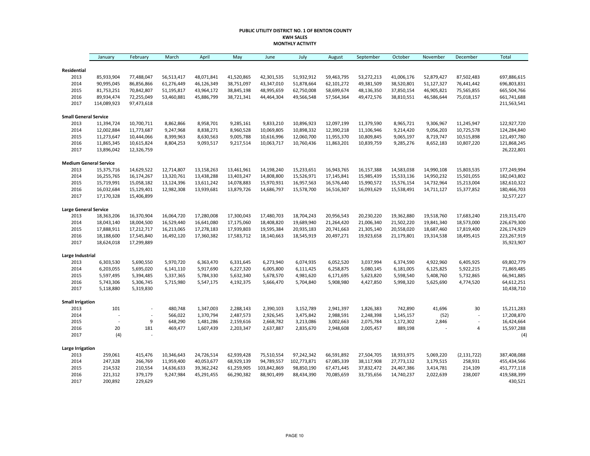#### **PUBLIC UTILITY DISTRICT NO. 1 OF BENTON COUNTY KWH SALES MONTHLY ACTIVITY**

|                               | January        | February   | March      | April      | May        | June        | July        | August     | September  | October    | November   | December                 | Total       |
|-------------------------------|----------------|------------|------------|------------|------------|-------------|-------------|------------|------------|------------|------------|--------------------------|-------------|
|                               |                |            |            |            |            |             |             |            |            |            |            |                          |             |
| Residential<br>2013           | 85,933,904     | 77,488,047 | 56,513,417 | 48,071,841 | 41,520,865 | 42,301,535  | 51,932,912  | 59,463,795 | 53,272,213 | 41,006,176 | 52,879,427 | 87,502,483               | 697,886,615 |
| 2014                          | 90,995,045     | 86,856,866 | 61,276,449 | 46,126,349 | 38,751,097 | 43,347,010  | 51,878,664  | 62,101,272 | 49,381,509 | 38,520,801 | 51,127,327 | 76,441,442               | 696,803,831 |
| 2015                          | 81,753,251     | 70,842,807 | 51,195,817 | 43,964,172 | 38,845,198 | 48,995,659  | 62,750,008  | 58,699,674 | 48,136,350 | 37,850,154 | 46,905,821 | 75,565,855               | 665,504,766 |
| 2016                          | 89,934,474     | 72,255,049 | 53,460,881 | 45,886,799 | 38,721,341 | 44,464,304  | 49,566,548  | 57,564,364 | 49,472,576 | 38,810,551 | 46,586,644 | 75,018,157               | 661,741,688 |
| 2017                          | 114,089,923    | 97,473,618 |            |            |            |             |             |            |            |            |            |                          | 211,563,541 |
| <b>Small General Service</b>  |                |            |            |            |            |             |             |            |            |            |            |                          |             |
| 2013                          | 11,394,724     | 10,700,711 | 8,862,866  | 8,958,701  | 9,285,161  | 9,833,210   | 10,896,923  | 12,097,199 | 11,379,590 | 8,965,721  | 9,306,967  | 11,245,947               | 122,927,720 |
| 2014                          | 12,002,884     | 11,773,687 | 9,247,968  | 8,838,271  | 8,960,528  | 10,069,805  | 10,898,332  | 12,390,218 | 11,106,946 | 9,214,420  | 9,056,203  | 10,725,578               | 124,284,840 |
| 2015                          | 11,273,647     | 10,444,066 | 8,399,963  | 8,630,563  | 9,005,788  | 10,616,996  | 12,060,700  | 11,955,370 | 10,809,845 | 9,065,197  | 8,719,747  | 10,515,898               | 121,497,780 |
| 2016                          | 11,865,345     | 10,615,824 | 8,804,253  | 9,093,517  | 9,217,514  | 10,063,717  | 10,760,436  | 11,863,201 | 10,839,759 | 9,285,276  | 8,652,183  | 10,807,220               | 121,868,245 |
| 2017                          | 13,896,042     | 12,326,759 |            |            |            |             |             |            |            |            |            |                          | 26,222,801  |
| <b>Medium General Service</b> |                |            |            |            |            |             |             |            |            |            |            |                          |             |
| 2013                          | 15,375,716     | 14,629,522 | 12,714,807 | 13,158,263 | 13,461,961 | 14,198,240  | 15,233,651  | 16,943,765 | 16,157,388 | 14,583,038 | 14,990,108 | 15,803,535               | 177,249,994 |
| 2014                          | 16,255,765     | 16,174,267 | 13,320,761 | 13,438,288 | 13,403,247 | 14,808,800  | 15,526,971  | 17,145,841 | 15,985,439 | 15,533,136 | 14,950,232 | 15,501,055               | 182,043,802 |
| 2015                          | 15,719,991     | 15,058,182 | 13,124,396 | 13,611,242 | 14,078,883 | 15,970,931  | 16,957,563  | 16,576,440 | 15,990,572 | 15,576,154 | 14,732,964 | 15,213,004               | 182,610,322 |
| 2016                          | 16,032,684     | 15,129,401 | 12,982,308 | 13,939,681 | 13,879,726 | 14,686,797  | 15,578,700  | 16,516,307 | 16,093,629 | 15,538,491 | 14,711,127 | 15,377,852               | 180,466,703 |
| 2017                          | 17,170,328     | 15,406,899 |            |            |            |             |             |            |            |            |            |                          | 32,577,227  |
| <b>Large General Service</b>  |                |            |            |            |            |             |             |            |            |            |            |                          |             |
| 2013                          | 18,363,206     | 16,370,904 | 16,064,720 | 17,280,008 | 17,300,043 | 17,480,703  | 18,704,243  | 20,956,543 | 20,230,220 | 19,362,880 | 19,518,760 | 17,683,240               | 219,315,470 |
| 2014                          | 18,043,140     | 18,004,500 | 16,529,440 | 16,641,080 | 17,175,060 | 18,408,820  | 19,689,940  | 21,264,420 | 21,006,340 | 21,502,220 | 19,841,340 | 18,573,000               | 226,679,300 |
| 2015                          | 17,888,911     | 17,212,717 | 16,213,065 | 17,278,183 | 17,939,803 | 19,595,384  | 20,935,183  | 20,741,663 | 21,305,140 | 20,558,020 | 18,687,460 | 17,819,400               | 226,174,929 |
| 2016                          | 18,188,600     | 17,545,840 | 16,492,120 | 17,360,382 | 17,583,712 | 18,140,663  | 18,545,919  | 20,497,271 | 19,923,658 | 21,179,801 | 19,314,538 | 18,495,415               | 223,267,919 |
| 2017                          | 18,624,018     | 17,299,889 |            |            |            |             |             |            |            |            |            |                          | 35,923,907  |
| Large Industrial              |                |            |            |            |            |             |             |            |            |            |            |                          |             |
| 2013                          | 6,303,530      | 5,690,550  | 5,970,720  | 6,363,470  | 6,331,645  | 6,273,940   | 6,074,935   | 6,052,520  | 3,037,994  | 6,374,590  | 4,922,960  | 6,405,925                | 69,802,779  |
| 2014                          | 6,203,055      | 5,695,020  | 6,141,110  | 5,917,690  | 6,227,320  | 6,005,800   | 6,111,425   | 6,258,875  | 5,080,145  | 6,181,005  | 6,125,825  | 5,922,215                | 71,869,485  |
| 2015                          | 5,597,495      | 5,394,485  | 5,337,365  | 5,784,330  | 5,632,340  | 5,678,570   | 4,981,620   | 6,171,695  | 5,623,820  | 5,598,540  | 5,408,760  | 5,732,865                | 66,941,885  |
| 2016                          | 5,743,306      | 5,306,745  | 5,715,980  | 5,547,175  | 4,192,375  | 5,666,470   | 5,704,840   | 5,908,980  | 4,427,850  | 5,998,320  | 5,625,690  | 4,774,520                | 64,612,251  |
| 2017                          | 5,118,880      | 5,319,830  |            |            |            |             |             |            |            |            |            |                          | 10,438,710  |
| <b>Small Irrigation</b>       |                |            |            |            |            |             |             |            |            |            |            |                          |             |
| 2013                          | 101            |            | 480,748    | 1,347,003  | 2,288,143  | 2,390,103   | 3,152,789   | 2,941,397  | 1,826,383  | 742,890    | 41,696     | 30                       | 15,211,283  |
| 2014                          |                |            | 566,022    | 1,370,794  | 2,487,573  | 2,926,545   | 3,475,842   | 2,988,591  | 2,248,398  | 1,145,157  | (52)       |                          | 17,208,870  |
| 2015                          | $\overline{a}$ | 9          | 648,290    | 1,481,286  | 2,159,616  | 2,668,782   | 3,213,086   | 3,002,663  | 2,075,784  | 1,172,302  | 2,846      | $\overline{\phantom{a}}$ | 16,424,664  |
| 2016                          | 20             | 181        | 469,477    | 1,607,439  | 2,203,347  | 2,637,887   | 2,835,670   | 2,948,608  | 2,005,457  | 889,198    |            | 4                        | 15,597,288  |
| 2017                          | (4)            |            |            |            |            |             |             |            |            |            |            |                          | (4)         |
| <b>Large Irrigation</b>       |                |            |            |            |            |             |             |            |            |            |            |                          |             |
| 2013                          | 259,061        | 415,476    | 10,346,643 | 24,726,514 | 62,939,428 | 75,510,554  | 97,242,342  | 66,591,892 | 27,504,705 | 18,933,975 | 5,069,220  | (2, 131, 722)            | 387,408,088 |
| 2014                          | 247,328        | 266,769    | 11,959,400 | 40,053,677 | 68,929,139 | 94,789,557  | 102,773,871 | 67,085,339 | 38,117,908 | 27,773,132 | 3,179,515  | 258,931                  | 455,434,566 |
| 2015                          | 214,532        | 210,554    | 14,636,633 | 39,362,242 | 61,259,905 | 103,842,869 | 98,850,190  | 67,471,445 | 37,832,472 | 24,467,386 | 3,414,781  | 214,109                  | 451,777,118 |
| 2016                          | 221,312        | 379,179    | 9,247,984  | 45,291,455 | 66,290,382 | 88,901,499  | 88,434,390  | 70,085,659 | 33,735,656 | 14,740,237 | 2,022,639  | 238,007                  | 419,588,399 |
| 2017                          | 200,892        | 229,629    |            |            |            |             |             |            |            |            |            |                          | 430,521     |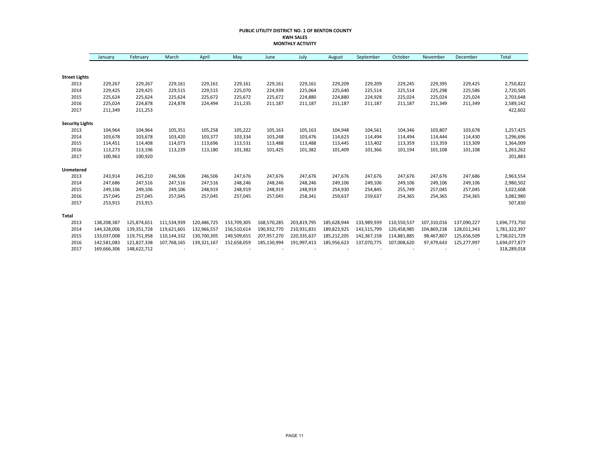#### **PUBLIC UTILITY DISTRICT NO. 1 OF BENTON COUNTY KWH SALES MONTHLY ACTIVITY**

|                        | January     | February    | March       | April       | May         | June        | July        | August      | September   | October     | November    | December    | Total         |
|------------------------|-------------|-------------|-------------|-------------|-------------|-------------|-------------|-------------|-------------|-------------|-------------|-------------|---------------|
|                        |             |             |             |             |             |             |             |             |             |             |             |             |               |
| <b>Street Lights</b>   |             |             |             |             |             |             |             |             |             |             |             |             |               |
| 2013                   | 229,267     | 229,267     | 229,161     | 229,161     | 229,161     | 229,161     | 229,161     | 229,209     | 229,209     | 229,245     | 229,395     | 229,425     | 2,750,822     |
| 2014                   | 229,425     | 229,425     | 229,515     | 229,515     | 225,070     | 224,939     | 225,064     | 225,640     | 225,514     | 225,514     | 225,298     | 225,586     | 2,720,505     |
| 2015                   | 225,624     | 225,624     | 225,624     | 225,672     | 225,672     | 225,672     | 224,880     | 224,880     | 224,928     | 225,024     | 225,024     | 225,024     | 2,703,648     |
| 2016                   | 225,024     | 224,878     | 224,878     | 224,494     | 211,235     | 211,187     | 211,187     | 211,187     | 211,187     | 211,187     | 211,349     | 211,349     | 2,589,142     |
| 2017                   | 211,349     | 211,253     |             |             |             |             |             |             |             |             |             |             | 422,602       |
| <b>Security Lights</b> |             |             |             |             |             |             |             |             |             |             |             |             |               |
| 2013                   | 104,964     | 104,964     | 105,351     | 105,258     | 105,222     | 105,163     | 105,163     | 104,948     | 104,561     | 104,346     | 103,807     | 103,678     | 1,257,425     |
| 2014                   | 103,678     | 103,678     | 103,420     | 103,377     | 103,334     | 103,248     | 103,476     | 114,623     | 114,494     | 114,494     | 114,444     | 114,430     | 1,296,696     |
| 2015                   | 114,451     | 114,408     | 114,073     | 113,696     | 113,531     | 113,488     | 113,488     | 113,445     | 113,402     | 113,359     | 113,359     | 113,309     | 1,364,009     |
| 2016                   | 113,273     | 113,196     | 113,239     | 113,180     | 101,382     | 101,425     | 101,382     | 101,409     | 101,366     | 101,194     | 101,108     | 101,108     | 1,263,262     |
| 2017                   | 100,963     | 100,920     |             |             |             |             |             |             |             |             |             |             | 201,883       |
| Unmetered              |             |             |             |             |             |             |             |             |             |             |             |             |               |
| 2013                   | 243,914     | 245,210     | 246,506     | 246,506     | 247,676     | 247,676     | 247,676     | 247,676     | 247,676     | 247,676     | 247,676     | 247,686     | 2,963,554     |
| 2014                   | 247,686     | 247,516     | 247,516     | 247,516     | 248,246     | 248,246     | 248,246     | 249,106     | 249,106     | 249,106     | 249,106     | 249,106     | 2,980,502     |
| 2015                   | 249,106     | 249,106     | 249,106     | 248,919     | 248,919     | 248,919     | 248,919     | 254,930     | 254,845     | 255,749     | 257,045     | 257,045     | 3,022,608     |
| 2016                   | 257,045     | 257,045     | 257,045     | 257,045     | 257,045     | 257,045     | 258,341     | 259,637     | 259,637     | 254,365     | 254,365     | 254,365     | 3,082,980     |
| 2017                   | 253,915     | 253,915     |             |             |             |             |             |             |             |             |             |             | 507,830       |
| <b>Total</b>           |             |             |             |             |             |             |             |             |             |             |             |             |               |
| 2013                   | 138,208,387 | 125,874,651 | 111,534,939 | 120,486,725 | 153,709,305 | 168,570,285 | 203,819,795 | 185,628,944 | 133,989,939 | 110,550,537 | 107,310,016 | 137,090,227 | 1,696,773,750 |
| 2014                   | 144,328,006 | 139,351,728 | 119,621,601 | 132,966,557 | 156,510,614 | 190,932,770 | 210,931,831 | 189,823,925 | 143,515,799 | 120,458,985 | 104,869,238 | 128,011,343 | 1,781,322,397 |
| 2015                   | 133,037,008 | 119,751,958 | 110,144,332 | 130,700,305 | 149,509,655 | 207,957,270 | 220,335,637 | 185,212,205 | 142,367,158 | 114,881,885 | 98,467,807  | 125,656,509 | 1,738,021,729 |
| 2016                   | 142,581,083 | 121,827,338 | 107,768,165 | 139,321,167 | 152,658,059 | 185,130,994 | 191,997,413 | 185,956,623 | 137,070,775 | 107,008,620 | 97,479,643  | 125,277,997 | 1,694,077,877 |
| 2017                   | 169,666,306 | 148,622,712 |             |             |             |             |             |             |             |             |             |             | 318,289,018   |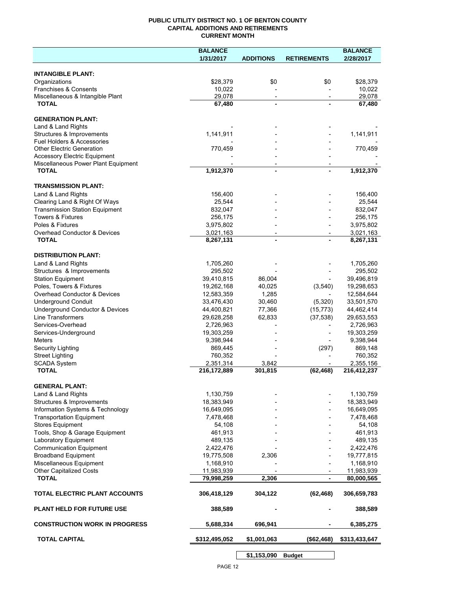### **PUBLIC UTILITY DISTRICT NO. 1 OF BENTON COUNTY CAPITAL ADDITIONS AND RETIREMENTS CURRENT MONTH**

|                                                              | <b>BALANCE</b>           |                                            |                          | <b>BALANCE</b>           |
|--------------------------------------------------------------|--------------------------|--------------------------------------------|--------------------------|--------------------------|
|                                                              | 1/31/2017                | <b>ADDITIONS</b>                           | <b>RETIREMENTS</b>       | 2/28/2017                |
| <b>INTANGIBLE PLANT:</b>                                     |                          |                                            |                          |                          |
| Organizations                                                | \$28,379                 | \$0                                        | \$0                      | \$28,379                 |
| Franchises & Consents                                        | 10,022                   |                                            |                          | 10,022                   |
| Miscellaneous & Intangible Plant                             | 29,078                   | $\overline{\phantom{a}}$                   | $\overline{\phantom{a}}$ | 29,078                   |
| <b>TOTAL</b>                                                 | 67,480                   |                                            |                          | 67,480                   |
| <b>GENERATION PLANT:</b>                                     |                          |                                            |                          |                          |
| Land & Land Rights                                           |                          |                                            |                          |                          |
| Structures & Improvements                                    | 1,141,911                |                                            |                          | 1,141,911                |
| <b>Fuel Holders &amp; Accessories</b>                        |                          |                                            |                          |                          |
| <b>Other Electric Generation</b>                             | 770,459                  |                                            |                          | 770,459                  |
| <b>Accessory Electric Equipment</b>                          |                          |                                            |                          |                          |
| Miscellaneous Power Plant Equipment<br><b>TOTAL</b>          | 1,912,370                | $\overline{\phantom{a}}$<br>$\blacksquare$ |                          | 1,912,370                |
|                                                              |                          |                                            |                          |                          |
| <b>TRANSMISSION PLANT:</b>                                   |                          |                                            |                          |                          |
| Land & Land Rights                                           | 156,400                  |                                            |                          | 156,400                  |
| Clearing Land & Right Of Ways                                | 25,544                   |                                            |                          | 25,544                   |
| <b>Transmission Station Equipment</b>                        | 832,047                  |                                            |                          | 832,047                  |
| <b>Towers &amp; Fixtures</b>                                 | 256,175                  |                                            |                          | 256,175                  |
| Poles & Fixtures                                             | 3,975,802                |                                            |                          | 3,975,802                |
| Overhead Conductor & Devices                                 | 3,021,163                |                                            |                          | 3,021,163                |
| <b>TOTAL</b>                                                 | 8,267,131                |                                            |                          | 8,267,131                |
| <b>DISTRIBUTION PLANT:</b>                                   |                          |                                            |                          |                          |
| Land & Land Rights                                           | 1,705,260                |                                            |                          | 1,705,260                |
| Structures & Improvements                                    | 295,502                  |                                            |                          | 295,502                  |
| <b>Station Equipment</b>                                     | 39,410,815               | 86,004                                     |                          | 39,496,819               |
| Poles, Towers & Fixtures                                     | 19,262,168               | 40,025                                     | (3,540)                  | 19,298,653               |
| Overhead Conductor & Devices                                 | 12,583,359               | 1,285                                      |                          | 12,584,644               |
| <b>Underground Conduit</b>                                   | 33,476,430               | 30,460                                     | (5,320)                  | 33,501,570               |
| Underground Conductor & Devices                              | 44,400,821               | 77,366                                     | (15, 773)                | 44,462,414               |
| <b>Line Transformers</b>                                     | 29,628,258               | 62,833                                     | (37, 538)                | 29,653,553               |
| Services-Overhead                                            | 2,726,963                |                                            |                          | 2,726,963                |
| Services-Underground                                         | 19,303,259               |                                            |                          | 19,303,259               |
| Meters                                                       | 9,398,944                |                                            |                          | 9,398,944                |
| Security Lighting                                            | 869,445                  |                                            | (297)                    | 869,148                  |
| <b>Street Lighting</b>                                       | 760,352                  |                                            |                          | 760,352                  |
| <b>SCADA System</b><br><b>TOTAL</b>                          | 2,351,314<br>216,172,889 | 3,842<br>301,815                           | (62, 468)                | 2,355,156<br>216,412,237 |
|                                                              |                          |                                            |                          |                          |
| <b>GENERAL PLANT:</b>                                        |                          |                                            |                          |                          |
| Land & Land Rights                                           | 1,130,759                |                                            |                          | 1,130,759                |
| Structures & Improvements                                    | 18,383,949               |                                            |                          | 18,383,949               |
| Information Systems & Technology                             | 16,649,095               |                                            |                          | 16,649,095               |
| <b>Transportation Equipment</b>                              | 7,478,468                |                                            |                          | 7,478,468                |
| <b>Stores Equipment</b>                                      | 54,108                   |                                            |                          | 54,108                   |
| Tools, Shop & Garage Equipment                               | 461,913                  |                                            |                          | 461,913                  |
| Laboratory Equipment                                         | 489,135                  |                                            |                          | 489,135                  |
| <b>Communication Equipment</b><br><b>Broadband Equipment</b> | 2,422,476<br>19,775,508  | 2,306                                      |                          | 2,422,476<br>19,777,815  |
| Miscellaneous Equipment                                      | 1,168,910                |                                            |                          | 1,168,910                |
| <b>Other Capitalized Costs</b>                               | 11,983,939               |                                            |                          | 11,983,939               |
| <b>TOTAL</b>                                                 | 79,998,259               | 2,306                                      | $\blacksquare$           | 80,000,565               |
|                                                              |                          |                                            |                          |                          |
| TOTAL ELECTRIC PLANT ACCOUNTS                                | 306,418,129              | 304,122                                    | (62, 468)                | 306,659,783              |
| <b>PLANT HELD FOR FUTURE USE</b>                             | 388,589                  |                                            |                          | 388,589                  |
| <b>CONSTRUCTION WORK IN PROGRESS</b>                         | 5,688,334                | 696,941                                    |                          | 6,385,275                |
| <b>TOTAL CAPITAL</b>                                         | \$312,495,052            | \$1,001,063                                | (\$62,468)               | \$313,433,647            |
|                                                              |                          |                                            |                          |                          |

PAGE 12

**\$1,153,090 Budget**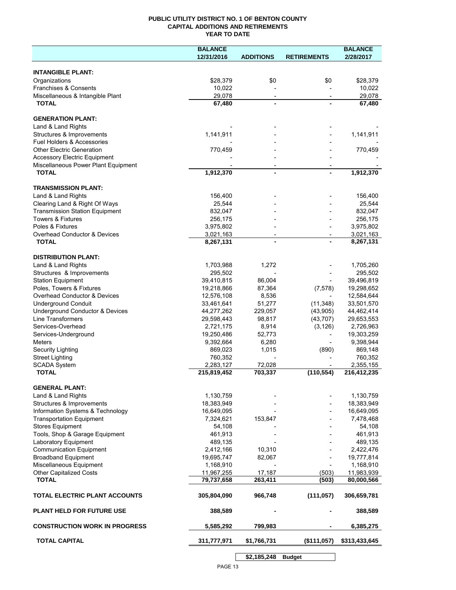## **PUBLIC UTILITY DISTRICT NO. 1 OF BENTON COUNTY CAPITAL ADDITIONS AND RETIREMENTS YEAR TO DATE**

|                                                          | <b>BALANCE</b>           |                          |                          | <b>BALANCE</b>          |
|----------------------------------------------------------|--------------------------|--------------------------|--------------------------|-------------------------|
|                                                          | 12/31/2016               | <b>ADDITIONS</b>         | <b>RETIREMENTS</b>       | 2/28/2017               |
|                                                          |                          |                          |                          |                         |
| <b>INTANGIBLE PLANT:</b>                                 |                          |                          |                          |                         |
| Organizations                                            | \$28,379                 | \$0                      | \$0                      | \$28,379                |
| Franchises & Consents                                    | 10,022                   |                          |                          | 10,022                  |
| Miscellaneous & Intangible Plant                         | 29,078                   | $\overline{\phantom{a}}$ | $\overline{\phantom{a}}$ | 29,078                  |
| <b>TOTAL</b>                                             | 67,480                   |                          |                          | 67,480                  |
| <b>GENERATION PLANT:</b>                                 |                          |                          |                          |                         |
| Land & Land Rights                                       |                          |                          |                          |                         |
| Structures & Improvements                                | 1,141,911                |                          |                          | 1,141,911               |
| Fuel Holders & Accessories                               |                          |                          |                          |                         |
| <b>Other Electric Generation</b>                         | 770,459                  |                          |                          | 770,459                 |
| <b>Accessory Electric Equipment</b>                      |                          |                          |                          |                         |
| Miscellaneous Power Plant Equipment                      |                          |                          |                          |                         |
| <b>TOTAL</b>                                             | 1,912,370                |                          |                          | 1,912,370               |
|                                                          |                          |                          |                          |                         |
| <b>TRANSMISSION PLANT:</b>                               |                          |                          |                          |                         |
| Land & Land Rights                                       | 156,400                  |                          |                          | 156,400                 |
| Clearing Land & Right Of Ways                            | 25,544                   |                          |                          | 25,544                  |
| <b>Transmission Station Equipment</b>                    | 832,047                  |                          |                          | 832,047                 |
| <b>Towers &amp; Fixtures</b>                             | 256,175                  |                          |                          | 256,175                 |
| Poles & Fixtures                                         | 3,975,802                |                          |                          | 3,975,802               |
| Overhead Conductor & Devices                             | 3,021,163                | $\overline{\phantom{a}}$ | $\overline{\phantom{a}}$ | 3,021,163               |
| <b>TOTAL</b>                                             | 8,267,131                |                          |                          | 8,267,131               |
| <b>DISTRIBUTION PLANT:</b>                               |                          |                          |                          |                         |
|                                                          | 1,703,988                | 1,272                    |                          | 1,705,260               |
| Land & Land Rights<br>Structures & Improvements          | 295,502                  |                          |                          | 295,502                 |
|                                                          | 39,410,815               | 86,004                   |                          | 39,496,819              |
| <b>Station Equipment</b>                                 |                          |                          |                          |                         |
| Poles, Towers & Fixtures<br>Overhead Conductor & Devices | 19,218,866               | 87,364                   | (7, 578)                 | 19,298,652              |
|                                                          | 12,576,108<br>33,461,641 | 8,536<br>51,277          | (11, 348)                | 12,584,644              |
| <b>Underground Conduit</b>                               |                          | 229,057                  |                          | 33,501,570              |
| Underground Conductor & Devices<br>Line Transformers     | 44,277,262               |                          | (43,905)                 | 44,462,414              |
| Services-Overhead                                        | 29,598,443               | 98,817                   | (43, 707)                | 29,653,553              |
|                                                          | 2,721,175                | 8,914<br>52,773          | (3, 126)                 | 2,726,963<br>19,303,259 |
| Services-Underground                                     | 19,250,486               |                          |                          | 9,398,944               |
| <b>Meters</b><br><b>Security Lighting</b>                | 9,392,664                | 6,280<br>1,015           | (890)                    |                         |
|                                                          | 869,023<br>760,352       |                          |                          | 869,148                 |
| <b>Street Lighting</b><br><b>SCADA System</b>            | 2,283,127                | 72,028                   |                          | 760,352<br>2,355,155    |
| <b>TOTAL</b>                                             | 215,819,452              | 703,337                  | (110, 554)               | 216,412,235             |
|                                                          |                          |                          |                          |                         |
| <b>GENERAL PLANT:</b>                                    |                          |                          |                          |                         |
| Land & Land Rights                                       | 1,130,759                |                          |                          | 1,130,759               |
| Structures & Improvements                                | 18,383,949               |                          |                          | 18,383,949              |
| Information Systems & Technology                         | 16,649,095               |                          |                          | 16,649,095              |
| <b>Transportation Equipment</b>                          | 7,324,621                | 153,847                  |                          | 7,478,468               |
| <b>Stores Equipment</b>                                  | 54,108                   |                          |                          | 54,108                  |
| Tools, Shop & Garage Equipment                           | 461,913                  |                          |                          | 461,913                 |
| Laboratory Equipment                                     | 489,135                  |                          |                          | 489,135                 |
| <b>Communication Equipment</b>                           | 2,412,166                | 10,310                   |                          | 2,422,476               |
| <b>Broadband Equipment</b>                               | 19,695,747               | 82,067                   |                          | 19,777,814              |
| Miscellaneous Equipment                                  | 1,168,910                |                          |                          | 1,168,910               |
| Other Capitalized Costs                                  | 11,967,255               | 17,187                   | (503)                    | 11,983,939              |
| <b>TOTAL</b>                                             | 79,737,658               | 263,411                  | (503)                    | 80,000,566              |
| TOTAL ELECTRIC PLANT ACCOUNTS                            | 305,804,090              | 966,748                  | (111, 057)               | 306,659,781             |
| <b>PLANT HELD FOR FUTURE USE</b>                         | 388,589                  |                          |                          | 388,589                 |
| <b>CONSTRUCTION WORK IN PROGRESS</b>                     | 5,585,292                | 799,983                  |                          | 6,385,275               |
| <b>TOTAL CAPITAL</b>                                     | 311,777,971              | \$1,766,731              | (\$111,057)              | \$313,433,645           |
|                                                          |                          |                          |                          |                         |
|                                                          |                          | \$2,185,248              | <b>Budget</b>            |                         |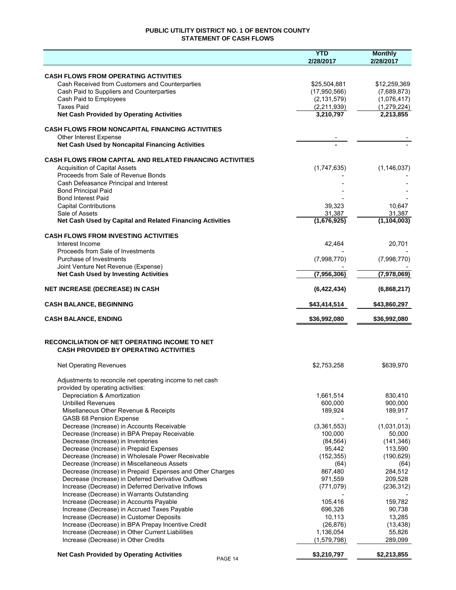# **PUBLIC UTILITY DISTRICT NO. 1 OF BENTON COUNTY STATEMENT OF CASH FLOWS**

|                                                                                    | <b>YTD</b><br>2/28/2017 | <b>Monthly</b><br>2/28/2017 |
|------------------------------------------------------------------------------------|-------------------------|-----------------------------|
| <b>CASH FLOWS FROM OPERATING ACTIVITIES</b>                                        |                         |                             |
| Cash Received from Customers and Counterparties                                    | \$25,504,881            | \$12,259,369                |
| Cash Paid to Suppliers and Counterparties                                          | (17,950,566)            | (7,689,873)                 |
| Cash Paid to Employees                                                             | (2, 131, 579)           | (1,076,417)                 |
| <b>Taxes Paid</b>                                                                  | (2,211,939)             | (1, 279, 224)               |
| <b>Net Cash Provided by Operating Activities</b>                                   | 3,210,797               | 2,213,855                   |
| <b>CASH FLOWS FROM NONCAPITAL FINANCING ACTIVITIES</b>                             |                         |                             |
| <b>Other Interest Expense</b>                                                      |                         |                             |
| Net Cash Used by Noncapital Financing Activities                                   |                         |                             |
| <b>CASH FLOWS FROM CAPITAL AND RELATED FINANCING ACTIVITIES</b>                    |                         |                             |
| <b>Acquisition of Capital Assets</b>                                               | (1,747,635)             | (1, 146, 037)               |
| Proceeds from Sale of Revenue Bonds                                                |                         |                             |
| Cash Defeasance Principal and Interest                                             |                         |                             |
| <b>Bond Principal Paid</b><br><b>Bond Interest Paid</b>                            |                         |                             |
| <b>Capital Contributions</b>                                                       | 39,323                  | 10,647                      |
| Sale of Assets                                                                     | 31,387                  | 31,387                      |
| Net Cash Used by Capital and Related Financing Activities                          | (1,676,925)             | (1, 104, 003)               |
| <b>CASH FLOWS FROM INVESTING ACTIVITIES</b>                                        |                         |                             |
| Interest Income                                                                    | 42.464                  | 20,701                      |
| Proceeds from Sale of Investments                                                  |                         |                             |
| Purchase of Investments<br>Joint Venture Net Revenue (Expense)                     | (7,998,770)             | (7,998,770)                 |
| <b>Net Cash Used by Investing Activities</b>                                       | (7,956,306)             | (7,978,069)                 |
| <b>NET INCREASE (DECREASE) IN CASH</b>                                             | (6,422,434)             | (6,868,217)                 |
| <b>CASH BALANCE, BEGINNING</b>                                                     | \$43,414,514            | \$43,860,297                |
|                                                                                    |                         |                             |
| <b>CASH BALANCE, ENDING</b>                                                        | \$36,992,080            | \$36,992,080                |
| RECONCILIATION OF NET OPERATING INCOME TO NET                                      |                         |                             |
| <b>CASH PROVIDED BY OPERATING ACTIVITIES</b>                                       |                         |                             |
| <b>Net Operating Revenues</b>                                                      | \$2,753,258             | \$639,970                   |
| Adjustments to reconcile net operating income to net cash                          |                         |                             |
| provided by operating activities:                                                  |                         |                             |
| Depreciation & Amortization                                                        | 1,661,514               | 830,410                     |
| <b>Unbilled Revenues</b>                                                           | 600,000                 | 900,000                     |
| Misellaneous Other Revenue & Receipts                                              | 189,924                 | 189,917                     |
| GASB 68 Pension Expense                                                            |                         |                             |
| Decrease (Increase) in Accounts Receivable                                         | (3,361,553)             | (1,031,013)                 |
| Decrease (Increase) in BPA Prepay Receivable<br>Decrease (Increase) in Inventories | 100,000                 | 50,000<br>(141, 346)        |
| Decrease (Increase) in Prepaid Expenses                                            | (84, 564)<br>95,442     | 113,590                     |
| Decrease (Increase) in Wholesale Power Receivable                                  | (152, 355)              | (190, 629)                  |
| Decrease (Increase) in Miscellaneous Assets                                        | (64)                    | (64)                        |
| Decrease (Increase) in Prepaid Expenses and Other Charges                          | 867,480                 | 284,512                     |
| Decrease (Increase) in Deferred Derivative Outflows                                | 971,559                 | 209,528                     |
| Increase (Decrease) in Deferred Derivative Inflows                                 | (771, 079)              | (236, 312)                  |
| Increase (Decrease) in Warrants Outstanding                                        |                         |                             |
| Increase (Decrease) in Accounts Payable                                            | 105,416                 | 159,782                     |
| Increase (Decrease) in Accrued Taxes Payable                                       | 696,326                 | 90,738                      |
| Increase (Decrease) in Customer Deposits                                           | 10,113                  | 13,285                      |
| Increase (Decrease) in BPA Prepay Incentive Credit                                 | (26, 876)               | (13, 438)                   |
| Increase (Decrease) in Other Current Liabilities                                   | 1,136,054               | 55,826                      |
| Increase (Decrease) in Other Credits                                               | (1,579,798)             | 289,099                     |
| <b>Net Cash Provided by Operating Activities</b><br>PAGE 14                        | \$3,210,797             | \$2,213,855                 |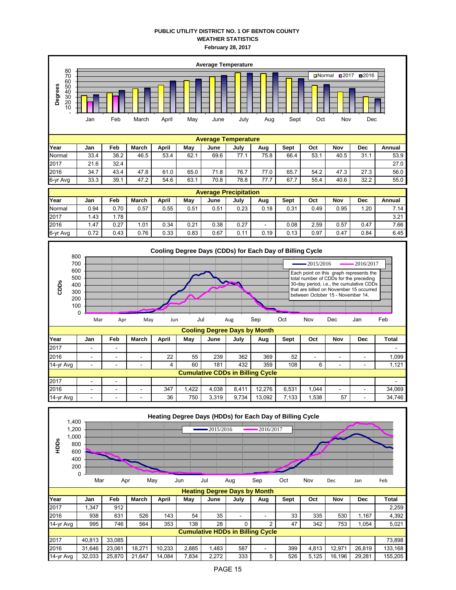## **PUBLIC UTILITY DISTRICT NO. 1 OF BENTON COUNTY WEATHER STATISTICS February 28, 2017**



|          |       |      |       |       |      | . .  |      |                          |      |      |      |      |        |
|----------|-------|------|-------|-------|------|------|------|--------------------------|------|------|------|------|--------|
| Year     | Jan   | Feb  | March | April | Mav  | June | July | Aug                      | Sept | Oct  | Nov  | Dec  | Annual |
| Normal   | 0.94  | 0.70 | 0.57  | 0.55  | 0.51 | 0.51 | 0.23 | 0.18                     | 0.31 | 0.49 | 0.95 | . 20 | 7.14   |
| 2017     | . .43 | .78  |       |       |      |      |      |                          |      |      |      |      | 3.21   |
| 2016     | . 47  | 0.27 | 1.01  | 0.34  | 0.21 | 0.38 | 0.27 | $\overline{\phantom{a}}$ | 0.08 | 2.59 | 0.57 | 0.47 | 7.66   |
| 6-yr Avg | 0.72  | 0.43 | 0.76  | 0.33  | 0.83 | 0.67 | 0.11 | 0.19                     | 0.13 | 0.97 | 0.47 | 0.84 | 6.45   |



2016 | - | - | - | 347 | 1,422 | 4,038 | 8,411 | 12,276 | 6,531 | 1,044 | - | - | 34,069

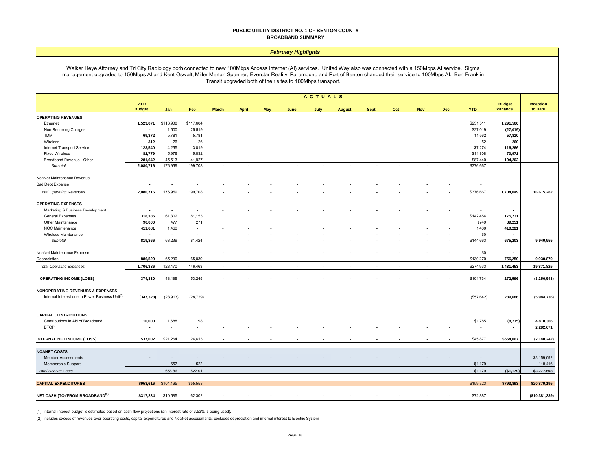#### **PUBLIC UTILITY DISTRICT NO. 1 OF BENTON COUNTY BROADBAND SUMMARY**

#### *February Highlights*

Walker Heye Attorney and Tri City Radiology both connected to new 100Mbps Access Internet (AI) services. United Way also was connected with a 150Mbps AI service. Sigma management upgraded to 150Mbps AI and Kent Oswalt, Miller Mertan Spanner, Everstar Reality, Paramount, and Port of Benton changed their service to 100Mbps AI. Ben Franklin Transit upgraded both of their sites to 100Mbps transport.

|                                                             |                          |           |                          |              |              |            |      | ACTUALS                  |               |             |                          |            |            |                          |                           |                             |
|-------------------------------------------------------------|--------------------------|-----------|--------------------------|--------------|--------------|------------|------|--------------------------|---------------|-------------|--------------------------|------------|------------|--------------------------|---------------------------|-----------------------------|
|                                                             | 2017<br><b>Budget</b>    | Jan       | Feb                      | <b>March</b> | <b>April</b> | <b>May</b> | June | July                     | <b>August</b> | <b>Sept</b> | Oct                      | <b>Nov</b> | <b>Dec</b> | <b>YTD</b>               | <b>Budget</b><br>Variance | <b>Inception</b><br>to Date |
| <b>OPERATING REVENUES</b>                                   |                          |           |                          |              |              |            |      |                          |               |             |                          |            |            |                          |                           |                             |
| Ethernet                                                    | 1,523,071                | \$113,908 | \$117,604                |              |              |            |      |                          |               |             |                          |            |            | \$231,511                | 1,291,560                 |                             |
| Non-Recurring Charges                                       |                          | 1,500     | 25,519                   |              |              |            |      |                          |               |             |                          |            |            | \$27,019                 | (27, 019)                 |                             |
| <b>TDM</b>                                                  | 69,372                   | 5,781     | 5,781                    |              |              |            |      |                          |               |             |                          |            |            | 11,562                   | 57,810                    |                             |
| Wireless                                                    | 312                      | 26        | 26                       |              |              |            |      |                          |               |             |                          |            |            | 52                       | 260                       |                             |
| Internet Transport Service                                  | 123,540                  | 4,255     | 3,019                    |              |              |            |      |                          |               |             |                          |            |            | \$7,274                  | 116,266                   |                             |
| <b>Fixed Wireless</b>                                       | 82,779                   | 5,976     | 5,832                    |              |              |            |      |                          |               |             |                          |            |            | \$11,808                 | 70,971                    |                             |
| Broadband Revenue - Other                                   | 281,642                  | 45,513    | 41,927                   |              |              |            |      |                          |               |             |                          |            |            | \$87,440                 | 194,202                   |                             |
| Subtotal                                                    | 2,080,716                | 176,959   | 199,708                  |              |              | ÷,         | ÷    |                          | $\sim$        |             | $\sim$                   | ×,         |            | \$376,667                |                           |                             |
| NoaNet Maintenance Revenue                                  | $\overline{\phantom{a}}$ |           | $\overline{\phantom{a}}$ |              |              |            |      |                          |               |             |                          |            |            | $\overline{\phantom{a}}$ |                           |                             |
| <b>Bad Debt Expense</b>                                     |                          |           |                          |              |              |            |      |                          |               |             |                          |            |            | $\sim$                   |                           |                             |
| <b>Total Operating Revenues</b>                             | 2,080,716                | 176,959   | 199,708                  |              |              |            |      |                          |               |             |                          |            |            | \$376,667                | 1,704,049                 | 16,615,282                  |
| <b>OPERATING EXPENSES</b>                                   |                          |           |                          |              |              |            |      |                          |               |             |                          |            |            |                          |                           |                             |
|                                                             | $\sim$                   |           |                          |              |              |            |      |                          |               |             |                          |            |            |                          | $\overline{\phantom{a}}$  |                             |
| Marketing & Business Development                            |                          |           |                          |              |              |            |      |                          |               |             |                          |            |            |                          |                           |                             |
| <b>General Expenses</b>                                     | 318,185                  | 61,302    | 81,153                   |              |              |            |      |                          |               |             |                          |            |            | \$142,454                | 175,731                   |                             |
| Other Maintenance                                           | 90,000                   | 477       | 271                      |              |              |            |      |                          |               |             |                          |            |            | \$749                    | 89,251                    |                             |
| NOC Maintenance                                             | 411,681                  | 1,460     | $\sim$                   |              |              |            |      |                          |               |             |                          |            |            | 1,460                    | 410,221                   |                             |
| Wireless Maintenance                                        |                          |           |                          |              |              |            |      |                          |               |             |                          |            |            | \$0                      |                           |                             |
| Subtotal                                                    | 819,866                  | 63,239    | 81,424                   |              |              |            |      |                          |               |             |                          |            |            | \$144,663                | 675,203                   | 9,940,955                   |
| NoaNet Maintenance Expense                                  | $\sim$                   | $\sim$    | $\sim$                   |              |              |            |      |                          |               |             |                          |            |            | \$0                      | $\sim$                    |                             |
| Depreciation                                                | 886,520                  | 65,230    | 65,039                   |              |              |            |      |                          |               |             |                          |            |            | \$130,270                | 756,250                   | 9,930,870                   |
| <b>Total Operating Expenses</b>                             | 1,706,386                | 128,470   | 146,463                  | $\sim$       |              |            |      |                          |               |             | $\overline{\phantom{a}}$ | ÷          |            | \$274,933                | 1,431,453                 | 19,871,825                  |
| <b>OPERATING INCOME (LOSS)</b>                              | 374,330                  | 48,489    | 53,245                   |              |              |            |      |                          |               |             |                          |            |            | \$101,734                | 272,596                   | (3, 256, 543)               |
| NONOPERATING REVENUES & EXPENSES                            |                          |           |                          |              |              |            |      |                          |               |             |                          |            |            |                          |                           |                             |
| Internal Interest due to Power Business Unit <sup>(1)</sup> | (347, 328)               | (28, 913) | (28, 729)                |              |              |            |      |                          |               |             |                          |            |            | (\$57,642)               | 289,686                   | (5,984,736)                 |
| <b>CAPITAL CONTRIBUTIONS</b>                                |                          |           |                          |              |              |            |      |                          |               |             |                          |            |            |                          |                           |                             |
| Contributions in Aid of Broadband                           | 10,000                   | 1,688     | 98                       |              |              |            |      |                          |               |             |                          |            |            | \$1,785                  | (8, 215)                  | 4,818,366                   |
| <b>BTOP</b>                                                 |                          | ×.        |                          |              |              |            |      |                          |               |             |                          |            |            |                          | $\sim$                    | 2,282,671                   |
|                                                             |                          |           |                          |              |              |            |      |                          |               |             |                          |            |            |                          |                           |                             |
| <b>INTERNAL NET INCOME (LOSS)</b>                           | \$37,002                 | \$21,264  | 24,613                   |              |              |            |      |                          |               |             |                          |            |            | \$45,877                 | \$554,067                 | (2, 140, 242)               |
| <b>NOANET COSTS</b>                                         |                          |           |                          |              |              |            |      |                          |               |             |                          |            |            |                          |                           |                             |
| <b>Member Assessments</b>                                   |                          |           |                          |              |              |            |      |                          |               |             |                          |            |            |                          |                           | \$3,159,092                 |
| Membership Support                                          |                          | 657       | 522                      |              |              |            |      |                          |               |             |                          |            |            | \$1,179                  |                           | 118,416                     |
| <b>Total NoaNet Costs</b>                                   | $\sim$                   | 656.86    | 522.01                   | $\sim$       |              |            |      | $\overline{\phantom{a}}$ | $\sim$        |             | $\sim$                   | $\sim$     |            | \$1,179                  | (\$1,179)                 | \$3,277,508                 |
|                                                             |                          |           |                          |              |              |            |      |                          |               |             |                          |            |            |                          |                           |                             |
| <b>CAPITAL EXPENDITURES</b>                                 | \$953,616                | \$104,165 | \$55,558                 |              |              |            |      |                          |               |             |                          |            |            | \$159,723                | \$793,893                 | \$20,879,195                |
| NET CASH (TO)/FROM BROADBAND <sup>(2)</sup>                 | \$317,234                | \$10,585  | 62,302                   |              |              |            |      |                          |               |             |                          |            |            | \$72,887                 |                           | (\$10,381,339)              |

(1) Internal interest budget is estimated based on cash flow projections (an interest rate of 3.53% is being used).

(2) Includes excess of revenues over operating costs, capital expenditures and NoaNet assessments; excludes depreciation and internal interest to Electric System